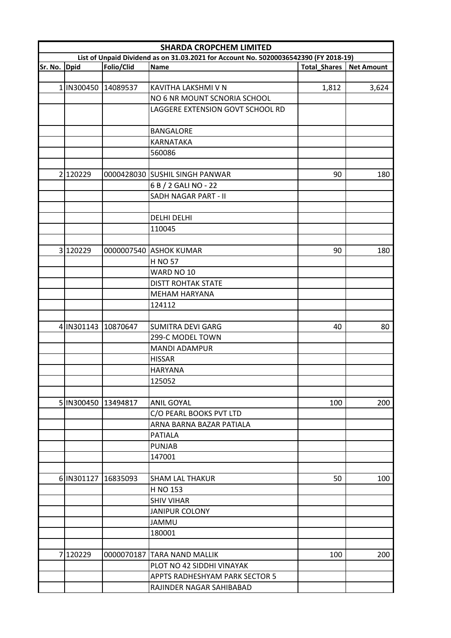|         | <b>SHARDA CROPCHEM LIMITED</b>                                                       |            |                                                     |                     |                   |  |  |
|---------|--------------------------------------------------------------------------------------|------------|-----------------------------------------------------|---------------------|-------------------|--|--|
|         | List of Unpaid Dividend as on 31.03.2021 for Account No. 50200036542390 (FY 2018-19) |            |                                                     |                     |                   |  |  |
| Sr. No. | <b>Dpid</b>                                                                          | Folio/Clid | Name                                                | <b>Total_Shares</b> | <b>Net Amount</b> |  |  |
|         |                                                                                      |            |                                                     |                     |                   |  |  |
|         | 1 IN300450                                                                           | 14089537   | KAVITHA LAKSHMI V N<br>NO 6 NR MOUNT SCNORIA SCHOOL | 1,812               | 3,624             |  |  |
|         |                                                                                      |            |                                                     |                     |                   |  |  |
|         |                                                                                      |            | LAGGERE EXTENSION GOVT SCHOOL RD                    |                     |                   |  |  |
|         |                                                                                      |            | <b>BANGALORE</b>                                    |                     |                   |  |  |
|         |                                                                                      |            | <b>KARNATAKA</b>                                    |                     |                   |  |  |
|         |                                                                                      |            | 560086                                              |                     |                   |  |  |
|         |                                                                                      |            |                                                     |                     |                   |  |  |
|         | 2 120229                                                                             |            | 0000428030 SUSHIL SINGH PANWAR                      | 90                  | 180               |  |  |
|         |                                                                                      |            | 6 B / 2 GALI NO - 22                                |                     |                   |  |  |
|         |                                                                                      |            | SADH NAGAR PART - II                                |                     |                   |  |  |
|         |                                                                                      |            |                                                     |                     |                   |  |  |
|         |                                                                                      |            | <b>DELHI DELHI</b>                                  |                     |                   |  |  |
|         |                                                                                      |            | 110045                                              |                     |                   |  |  |
|         |                                                                                      |            |                                                     |                     |                   |  |  |
|         | 3 120229                                                                             |            | 0000007540 ASHOK KUMAR                              | 90                  | 180               |  |  |
|         |                                                                                      |            | <b>H NO 57</b>                                      |                     |                   |  |  |
|         |                                                                                      |            | WARD NO 10                                          |                     |                   |  |  |
|         |                                                                                      |            | <b>DISTT ROHTAK STATE</b>                           |                     |                   |  |  |
|         |                                                                                      |            |                                                     |                     |                   |  |  |
|         |                                                                                      |            | <b>MEHAM HARYANA</b>                                |                     |                   |  |  |
|         |                                                                                      |            | 124112                                              |                     |                   |  |  |
|         | 4 IN301143                                                                           | 10870647   | <b>SUMITRA DEVI GARG</b>                            | 40                  | 80                |  |  |
|         |                                                                                      |            | 299-C MODEL TOWN                                    |                     |                   |  |  |
|         |                                                                                      |            | <b>MANDI ADAMPUR</b>                                |                     |                   |  |  |
|         |                                                                                      |            | <b>HISSAR</b>                                       |                     |                   |  |  |
|         |                                                                                      |            |                                                     |                     |                   |  |  |
|         |                                                                                      |            | <b>HARYANA</b>                                      |                     |                   |  |  |
|         |                                                                                      |            | 125052                                              |                     |                   |  |  |
|         | 5 IN300450                                                                           | 13494817   | <b>ANIL GOYAL</b>                                   | 100                 | 200               |  |  |
|         |                                                                                      |            | C/O PEARL BOOKS PVT LTD                             |                     |                   |  |  |
|         |                                                                                      |            | ARNA BARNA BAZAR PATIALA                            |                     |                   |  |  |
|         |                                                                                      |            | <b>PATIALA</b>                                      |                     |                   |  |  |
|         |                                                                                      |            | <b>PUNJAB</b>                                       |                     |                   |  |  |
|         |                                                                                      |            | 147001                                              |                     |                   |  |  |
|         |                                                                                      |            |                                                     |                     |                   |  |  |
|         | 6 IN301127                                                                           | 16835093   | <b>SHAM LAL THAKUR</b>                              | 50                  | 100               |  |  |
|         |                                                                                      |            | H NO 153                                            |                     |                   |  |  |
|         |                                                                                      |            | <b>SHIV VIHAR</b>                                   |                     |                   |  |  |
|         |                                                                                      |            |                                                     |                     |                   |  |  |
|         |                                                                                      |            | <b>JANIPUR COLONY</b>                               |                     |                   |  |  |
|         |                                                                                      |            | <b>JAMMU</b>                                        |                     |                   |  |  |
|         |                                                                                      |            | 180001                                              |                     |                   |  |  |
|         | 7120229                                                                              |            |                                                     |                     |                   |  |  |
|         |                                                                                      |            | 0000070187 TARA NAND MALLIK                         | 100                 | 200               |  |  |
|         |                                                                                      |            | PLOT NO 42 SIDDHI VINAYAK                           |                     |                   |  |  |
|         |                                                                                      |            | APPTS RADHESHYAM PARK SECTOR 5                      |                     |                   |  |  |
|         |                                                                                      |            | RAJINDER NAGAR SAHIBABAD                            |                     |                   |  |  |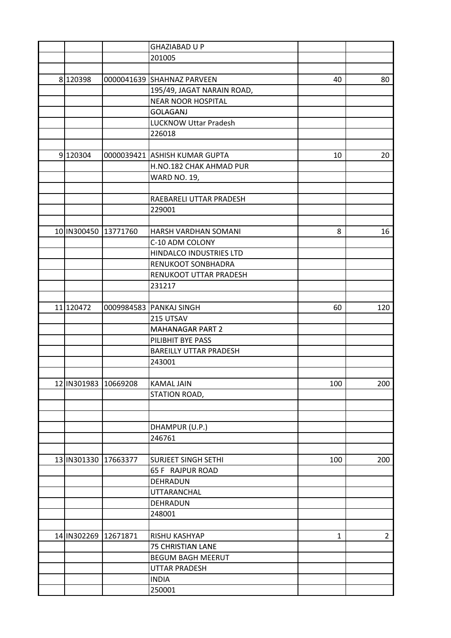|                      |          | <b>GHAZIABAD U P</b>          |     |             |
|----------------------|----------|-------------------------------|-----|-------------|
|                      |          | 201005                        |     |             |
|                      |          |                               |     |             |
| 8 120398             |          | 0000041639 SHAHNAZ PARVEEN    | 40  | 80          |
|                      |          | 195/49, JAGAT NARAIN ROAD,    |     |             |
|                      |          | <b>NEAR NOOR HOSPITAL</b>     |     |             |
|                      |          | <b>GOLAGANJ</b>               |     |             |
|                      |          | <b>LUCKNOW Uttar Pradesh</b>  |     |             |
|                      |          | 226018                        |     |             |
|                      |          |                               |     |             |
| 9 120304             |          | 0000039421 ASHISH KUMAR GUPTA | 10  | 20          |
|                      |          | H.NO.182 CHAK AHMAD PUR       |     |             |
|                      |          | <b>WARD NO. 19,</b>           |     |             |
|                      |          |                               |     |             |
|                      |          | RAEBARELI UTTAR PRADESH       |     |             |
|                      |          | 229001                        |     |             |
|                      |          |                               |     |             |
| 10 IN300450 13771760 |          | HARSH VARDHAN SOMANI          | 8   | 16          |
|                      |          | C-10 ADM COLONY               |     |             |
|                      |          | HINDALCO INDUSTRIES LTD       |     |             |
|                      |          | RENUKOOT SONBHADRA            |     |             |
|                      |          | RENUKOOT UTTAR PRADESH        |     |             |
|                      |          | 231217                        |     |             |
|                      |          |                               |     |             |
| 11 120472            |          | 0009984583 PANKAJ SINGH       | 60  | 120         |
|                      |          | 215 UTSAV                     |     |             |
|                      |          | <b>MAHANAGAR PART 2</b>       |     |             |
|                      |          | PILIBHIT BYE PASS             |     |             |
|                      |          | <b>BAREILLY UTTAR PRADESH</b> |     |             |
|                      |          | 243001                        |     |             |
|                      |          |                               |     |             |
| 12 IN301983 10669208 |          | KAMAL JAIN                    | 100 | 200         |
|                      |          | STATION ROAD,                 |     |             |
|                      |          |                               |     |             |
|                      |          |                               |     |             |
|                      |          | DHAMPUR (U.P.)                |     |             |
|                      |          | 246761                        |     |             |
|                      |          |                               |     |             |
| 13 IN301330 17663377 |          | <b>SURJEET SINGH SETHI</b>    | 100 | 200         |
|                      |          | 65 F RAJPUR ROAD              |     |             |
|                      |          | DEHRADUN                      |     |             |
|                      |          | <b>UTTARANCHAL</b>            |     |             |
|                      |          | DEHRADUN                      |     |             |
|                      |          |                               |     |             |
|                      |          | 248001                        |     |             |
|                      |          |                               |     |             |
| 14 IN302269          | 12671871 | RISHU KASHYAP                 | 1   | $2^{\circ}$ |
|                      |          | <b>75 CHRISTIAN LANE</b>      |     |             |
|                      |          | <b>BEGUM BAGH MEERUT</b>      |     |             |
|                      |          | <b>UTTAR PRADESH</b>          |     |             |
|                      |          | <b>INDIA</b>                  |     |             |
|                      |          | 250001                        |     |             |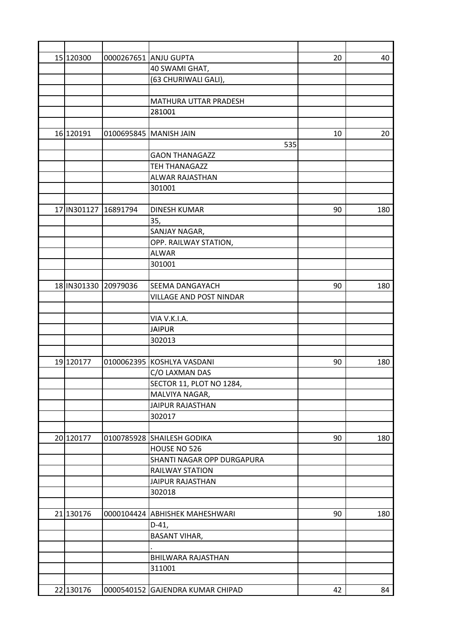| 15 120300 |                      | 0000267651 ANJU GUPTA            | 20 | 40  |
|-----------|----------------------|----------------------------------|----|-----|
|           |                      | 40 SWAMI GHAT,                   |    |     |
|           |                      | (63 CHURIWALI GALI),             |    |     |
|           |                      |                                  |    |     |
|           |                      | MATHURA UTTAR PRADESH            |    |     |
|           |                      | 281001                           |    |     |
|           |                      |                                  |    |     |
| 16 120191 | 0100695845           | <b>MANISH JAIN</b>               | 10 | 20  |
|           |                      | 535                              |    |     |
|           |                      | <b>GAON THANAGAZZ</b>            |    |     |
|           |                      | <b>TEH THANAGAZZ</b>             |    |     |
|           |                      | ALWAR RAJASTHAN                  |    |     |
|           |                      | 301001                           |    |     |
|           |                      |                                  |    |     |
|           | 17 IN301127 16891794 | <b>DINESH KUMAR</b>              | 90 | 180 |
|           |                      | 35,                              |    |     |
|           |                      | SANJAY NAGAR,                    |    |     |
|           |                      | OPP. RAILWAY STATION,            |    |     |
|           |                      | <b>ALWAR</b>                     |    |     |
|           |                      | 301001                           |    |     |
|           |                      |                                  |    |     |
|           | 18 IN301330 20979036 | SEEMA DANGAYACH                  | 90 | 180 |
|           |                      | VILLAGE AND POST NINDAR          |    |     |
|           |                      |                                  |    |     |
|           |                      | VIA V.K.I.A.                     |    |     |
|           |                      | <b>JAIPUR</b>                    |    |     |
|           |                      | 302013                           |    |     |
|           |                      |                                  |    |     |
| 19 120177 |                      | 0100062395 KOSHLYA VASDANI       | 90 | 180 |
|           |                      | C/O LAXMAN DAS                   |    |     |
|           |                      | SECTOR 11, PLOT NO 1284,         |    |     |
|           |                      | MALVIYA NAGAR,                   |    |     |
|           |                      | <b>JAIPUR RAJASTHAN</b>          |    |     |
|           |                      | 302017                           |    |     |
|           |                      |                                  |    |     |
| 20 120177 | 0100785928           | SHAILESH GODIKA                  | 90 | 180 |
|           |                      | HOUSE NO 526                     |    |     |
|           |                      | SHANTI NAGAR OPP DURGAPURA       |    |     |
|           |                      | <b>RAILWAY STATION</b>           |    |     |
|           |                      | <b>JAIPUR RAJASTHAN</b>          |    |     |
|           |                      | 302018                           |    |     |
|           |                      |                                  |    |     |
| 21 130176 | 0000104424           | <b>ABHISHEK MAHESHWARI</b>       | 90 | 180 |
|           |                      | $D-41,$                          |    |     |
|           |                      | <b>BASANT VIHAR,</b>             |    |     |
|           |                      |                                  |    |     |
|           |                      | BHILWARA RAJASTHAN               |    |     |
|           |                      | 311001                           |    |     |
|           |                      |                                  |    |     |
| 22 130176 |                      | 0000540152 GAJENDRA KUMAR CHIPAD | 42 | 84  |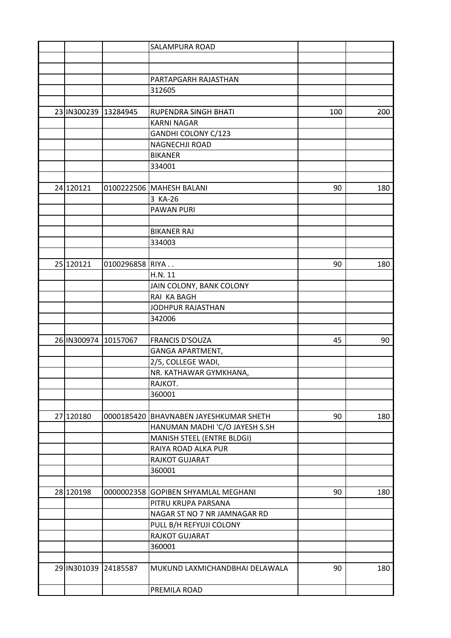|             |                      | <b>SALAMPURA ROAD</b>                    |     |     |
|-------------|----------------------|------------------------------------------|-----|-----|
|             |                      |                                          |     |     |
|             |                      |                                          |     |     |
|             |                      | PARTAPGARH RAJASTHAN                     |     |     |
|             |                      | 312605                                   |     |     |
|             |                      |                                          |     |     |
|             | 23 IN300239 13284945 | RUPENDRA SINGH BHATI                     | 100 | 200 |
|             |                      | <b>KARNI NAGAR</b>                       |     |     |
|             |                      | GANDHI COLONY C/123                      |     |     |
|             |                      | NAGNECHJI ROAD                           |     |     |
|             |                      | <b>BIKANER</b>                           |     |     |
|             |                      | 334001                                   |     |     |
|             |                      |                                          |     |     |
| 24 120121   |                      | 0100222506   MAHESH BALANI               | 90  | 180 |
|             |                      | 3 KA-26                                  |     |     |
|             |                      | <b>PAWAN PURI</b>                        |     |     |
|             |                      |                                          |     |     |
|             |                      | <b>BIKANER RAJ</b>                       |     |     |
|             |                      | 334003                                   |     |     |
|             |                      |                                          |     |     |
| 25 120121   | 0100296858 RIYA      |                                          | 90  | 180 |
|             |                      | H.N. 11                                  |     |     |
|             |                      | JAIN COLONY, BANK COLONY                 |     |     |
|             |                      | RAI KA BAGH                              |     |     |
|             |                      | JODHPUR RAJASTHAN                        |     |     |
|             |                      | 342006                                   |     |     |
|             |                      |                                          |     |     |
| 26 IN300974 | 10157067             | <b>FRANCIS D'SOUZA</b>                   | 45  | 90  |
|             |                      | <b>GANGA APARTMENT,</b>                  |     |     |
|             |                      |                                          |     |     |
|             |                      | 2/5, COLLEGE WADI,                       |     |     |
|             |                      | NR. KATHAWAR GYMKHANA,                   |     |     |
|             |                      | RAJKOT.                                  |     |     |
|             |                      | 360001                                   |     |     |
|             |                      |                                          |     |     |
| 27 120180   |                      | 0000185420   BHAVNABEN JAYESHKUMAR SHETH | 90  | 180 |
|             |                      | HANUMAN MADHI 'C/O JAYESH S.SH           |     |     |
|             |                      | MANISH STEEL (ENTRE BLDGI)               |     |     |
|             |                      | RAIYA ROAD ALKA PUR                      |     |     |
|             |                      | RAJKOT GUJARAT                           |     |     |
|             |                      | 360001                                   |     |     |
|             |                      |                                          |     |     |
| 28 120198   | 0000002358           | <b>GOPIBEN SHYAMLAL MEGHANI</b>          | 90  | 180 |
|             |                      | PITRU KRUPA PARSANA                      |     |     |
|             |                      | NAGAR ST NO 7 NR JAMNAGAR RD             |     |     |
|             |                      | PULL B/H REFYUJI COLONY                  |     |     |
|             |                      | RAJKOT GUJARAT                           |     |     |
|             |                      | 360001                                   |     |     |
|             |                      |                                          |     |     |
|             | 29 IN301039 24185587 | MUKUND LAXMICHANDBHAI DELAWALA           | 90  | 180 |
|             |                      |                                          |     |     |
|             |                      | PREMILA ROAD                             |     |     |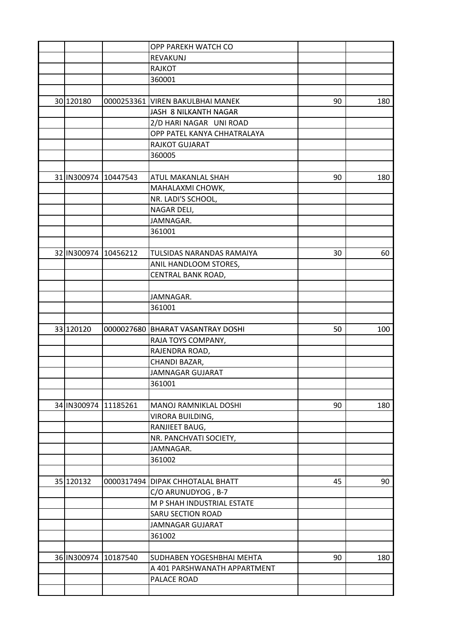|             |                      | OPP PAREKH WATCH CO                |    |     |
|-------------|----------------------|------------------------------------|----|-----|
|             |                      | REVAKUNJ                           |    |     |
|             |                      | <b>RAJKOT</b>                      |    |     |
|             |                      | 360001                             |    |     |
|             |                      |                                    |    |     |
| 30 120180   | 0000253361           | <b>VIREN BAKULBHAI MANEK</b>       | 90 | 180 |
|             |                      | JASH 8 NILKANTH NAGAR              |    |     |
|             |                      | 2/D HARI NAGAR UNI ROAD            |    |     |
|             |                      | OPP PATEL KANYA CHHATRALAYA        |    |     |
|             |                      | RAJKOT GUJARAT                     |    |     |
|             |                      | 360005                             |    |     |
|             |                      |                                    |    |     |
|             | 31 IN300974 10447543 | ATUL MAKANLAL SHAH                 | 90 | 180 |
|             |                      | MAHALAXMI CHOWK,                   |    |     |
|             |                      | NR. LADI'S SCHOOL,                 |    |     |
|             |                      | NAGAR DELI,                        |    |     |
|             |                      | JAMNAGAR.                          |    |     |
|             |                      | 361001                             |    |     |
|             |                      |                                    |    |     |
| 32 IN300974 | 10456212             | TULSIDAS NARANDAS RAMAIYA          | 30 | 60  |
|             |                      | ANIL HANDLOOM STORES,              |    |     |
|             |                      | CENTRAL BANK ROAD,                 |    |     |
|             |                      |                                    |    |     |
|             |                      | JAMNAGAR.                          |    |     |
|             |                      | 361001                             |    |     |
|             |                      |                                    |    |     |
| 33 120120   | 0000027680           | <b>BHARAT VASANTRAY DOSHI</b>      | 50 | 100 |
|             |                      | RAJA TOYS COMPANY,                 |    |     |
|             |                      | RAJENDRA ROAD,                     |    |     |
|             |                      | CHANDI BAZAR,                      |    |     |
|             |                      | <b>JAMNAGAR GUJARAT</b>            |    |     |
|             |                      | 361001                             |    |     |
|             |                      |                                    |    |     |
| 34 IN300974 | 11185261             | <b>MANOJ RAMNIKLAL DOSHI</b>       | 90 | 180 |
|             |                      | VIRORA BUILDING,                   |    |     |
|             |                      | RANJIEET BAUG,                     |    |     |
|             |                      | NR. PANCHVATI SOCIETY,             |    |     |
|             |                      | JAMNAGAR.                          |    |     |
|             |                      | 361002                             |    |     |
|             |                      |                                    |    |     |
| 35 120132   |                      | 0000317494   DIPAK CHHOTALAL BHATT | 45 | 90  |
|             |                      | C/O ARUNUDYOG, B-7                 |    |     |
|             |                      | M P SHAH INDUSTRIAL ESTATE         |    |     |
|             |                      | <b>SARU SECTION ROAD</b>           |    |     |
|             |                      | <b>JAMNAGAR GUJARAT</b>            |    |     |
|             |                      | 361002                             |    |     |
|             |                      |                                    |    |     |
|             | 36 IN300974 10187540 | SUDHABEN YOGESHBHAI MEHTA          | 90 | 180 |
|             |                      | A 401 PARSHWANATH APPARTMENT       |    |     |
|             |                      | PALACE ROAD                        |    |     |
|             |                      |                                    |    |     |
|             |                      |                                    |    |     |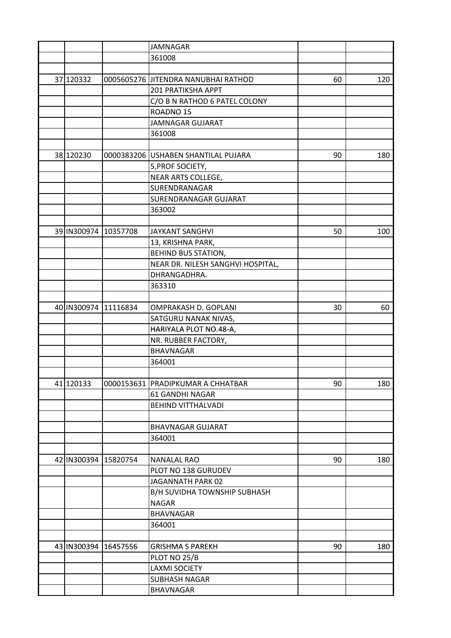|             |                      | <b>JAMNAGAR</b>                     |    |     |
|-------------|----------------------|-------------------------------------|----|-----|
|             |                      | 361008                              |    |     |
|             |                      |                                     |    |     |
| 37 120332   |                      | 0005605276 JITENDRA NANUBHAI RATHOD | 60 | 120 |
|             |                      | 201 PRATIKSHA APPT                  |    |     |
|             |                      | C/O B N RATHOD 6 PATEL COLONY       |    |     |
|             |                      | ROADNO <sub>15</sub>                |    |     |
|             |                      | <b>JAMNAGAR GUJARAT</b>             |    |     |
|             |                      | 361008                              |    |     |
|             |                      |                                     |    |     |
| 38 120230   |                      | 0000383206 USHABEN SHANTILAL PUJARA | 90 | 180 |
|             |                      | 5, PROF SOCIETY,                    |    |     |
|             |                      | NEAR ARTS COLLEGE,                  |    |     |
|             |                      | SURENDRANAGAR                       |    |     |
|             |                      | SURENDRANAGAR GUJARAT               |    |     |
|             |                      | 363002                              |    |     |
|             |                      |                                     |    |     |
|             | 39 IN300974 10357708 | <b>JAYKANT SANGHVI</b>              | 50 | 100 |
|             |                      | 13, KRISHNA PARK,                   |    |     |
|             |                      | <b>BEHIND BUS STATION,</b>          |    |     |
|             |                      | NEAR DR. NILESH SANGHVI HOSPITAL,   |    |     |
|             |                      | DHRANGADHRA.                        |    |     |
|             |                      | 363310                              |    |     |
|             |                      |                                     |    |     |
|             | 40 IN300974 11116834 | OMPRAKASH D. GOPLANI                | 30 | 60  |
|             |                      | SATGURU NANAK NIVAS,                |    |     |
|             |                      | HARIYALA PLOT NO.48-A,              |    |     |
|             |                      | NR. RUBBER FACTORY,                 |    |     |
|             |                      | <b>BHAVNAGAR</b>                    |    |     |
|             |                      | 364001                              |    |     |
|             |                      |                                     |    |     |
| 41 120133   |                      | 0000153631  PRADIPKUMAR A CHHATBAR  | 90 | 180 |
|             |                      | 61 GANDHI NAGAR                     |    |     |
|             |                      | <b>BEHIND VITTHALVADI</b>           |    |     |
|             |                      |                                     |    |     |
|             |                      | <b>BHAVNAGAR GUJARAT</b>            |    |     |
|             |                      | 364001                              |    |     |
|             |                      |                                     |    |     |
| 42 IN300394 | 15820754             | <b>NANALAL RAO</b>                  | 90 | 180 |
|             |                      | PLOT NO 138 GURUDEV                 |    |     |
|             |                      | JAGANNATH PARK 02                   |    |     |
|             |                      | B/H SUVIDHA TOWNSHIP SUBHASH        |    |     |
|             |                      | <b>NAGAR</b>                        |    |     |
|             |                      | <b>BHAVNAGAR</b>                    |    |     |
|             |                      | 364001                              |    |     |
|             |                      |                                     |    |     |
| 43 IN300394 | 16457556             | <b>GRISHMA S PAREKH</b>             | 90 | 180 |
|             |                      | PLOT NO 25/B                        |    |     |
|             |                      | <b>LAXMI SOCIETY</b>                |    |     |
|             |                      | SUBHASH NAGAR                       |    |     |
|             |                      | <b>BHAVNAGAR</b>                    |    |     |
|             |                      |                                     |    |     |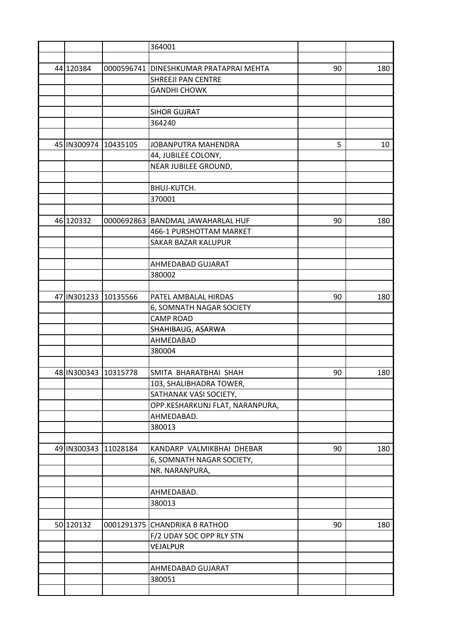|                      |          | 364001                                 |    |     |
|----------------------|----------|----------------------------------------|----|-----|
|                      |          |                                        |    |     |
| 44 120384            |          | 0000596741 DINESHKUMAR PRATAPRAI MEHTA | 90 | 180 |
|                      |          | SHREEJI PAN CENTRE                     |    |     |
|                      |          | <b>GANDHI CHOWK</b>                    |    |     |
|                      |          |                                        |    |     |
|                      |          | <b>SIHOR GUJRAT</b>                    |    |     |
|                      |          | 364240                                 |    |     |
|                      |          |                                        |    |     |
| 45 IN300974          | 10435105 | JOBANPUTRA MAHENDRA                    | 5  | 10  |
|                      |          | 44, JUBILEE COLONY,                    |    |     |
|                      |          | NEAR JUBILEE GROUND,                   |    |     |
|                      |          |                                        |    |     |
|                      |          | BHUJ-KUTCH.                            |    |     |
|                      |          | 370001                                 |    |     |
|                      |          |                                        |    |     |
| 46 120332            |          | 0000692863 BANDMAL JAWAHARLAL HUF      | 90 | 180 |
|                      |          | 466-1 PURSHOTTAM MARKET                |    |     |
|                      |          | SAKAR BAZAR KALUPUR                    |    |     |
|                      |          |                                        |    |     |
|                      |          | AHMEDABAD GUJARAT                      |    |     |
|                      |          | 380002                                 |    |     |
|                      |          |                                        |    |     |
| 47 IN301233          | 10135566 | PATEL AMBALAL HIRDAS                   | 90 | 180 |
|                      |          | 6, SOMNATH NAGAR SOCIETY               |    |     |
|                      |          | <b>CAMP ROAD</b>                       |    |     |
|                      |          | SHAHIBAUG, ASARWA                      |    |     |
|                      |          | AHMEDABAD                              |    |     |
|                      |          | 380004                                 |    |     |
|                      |          |                                        |    |     |
| 48 IN300343 10315778 |          | SMITA BHARATBHAI SHAH                  | 90 | 180 |
|                      |          | 103, SHALIBHADRA TOWER,                |    |     |
|                      |          | SATHANAK VASI SOCIETY,                 |    |     |
|                      |          | OPP.KESHARKUNJ FLAT, NARANPURA,        |    |     |
|                      |          | AHMEDABAD.                             |    |     |
|                      |          | 380013                                 |    |     |
|                      |          |                                        |    |     |
| 49 IN300343          | 11028184 | KANDARP VALMIKBHAI DHEBAR              | 90 | 180 |
|                      |          | 6, SOMNATH NAGAR SOCIETY,              |    |     |
|                      |          | NR. NARANPURA,                         |    |     |
|                      |          |                                        |    |     |
|                      |          | AHMEDABAD.                             |    |     |
|                      |          | 380013                                 |    |     |
|                      |          |                                        |    |     |
| 50 120132            |          | 0001291375 CHANDRIKA B RATHOD          | 90 | 180 |
|                      |          | F/2 UDAY SOC OPP RLY STN               |    |     |
|                      |          | VEJALPUR                               |    |     |
|                      |          |                                        |    |     |
|                      |          | AHMEDABAD GUJARAT                      |    |     |
|                      |          | 380051                                 |    |     |
|                      |          |                                        |    |     |
|                      |          |                                        |    |     |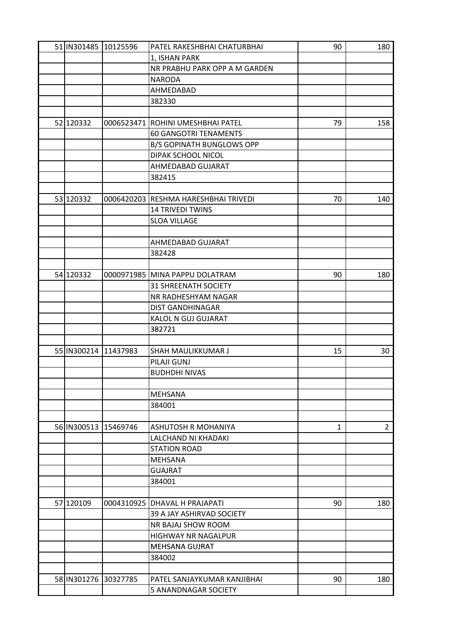| 51 IN301485 10125596 |          | PATEL RAKESHBHAI CHATURBHAI          | 90 | 180            |
|----------------------|----------|--------------------------------------|----|----------------|
|                      |          | 1, ISHAN PARK                        |    |                |
|                      |          | NR PRABHU PARK OPP A M GARDEN        |    |                |
|                      |          | <b>NARODA</b>                        |    |                |
|                      |          | AHMEDABAD                            |    |                |
|                      |          | 382330                               |    |                |
|                      |          |                                      |    |                |
| 52 120332            |          | 0006523471 ROHINI UMESHBHAI PATEL    | 79 | 158            |
|                      |          | <b>60 GANGOTRI TENAMENTS</b>         |    |                |
|                      |          | <b>B/S GOPINATH BUNGLOWS OPP</b>     |    |                |
|                      |          | DIPAK SCHOOL NICOL                   |    |                |
|                      |          | AHMEDABAD GUJARAT                    |    |                |
|                      |          | 382415                               |    |                |
|                      |          |                                      |    |                |
| 53 120332            |          | 0006420203 RESHMA HARESHBHAI TRIVEDI | 70 | 140            |
|                      |          | <b>14 TRIVEDI TWINS</b>              |    |                |
|                      |          | <b>SLOA VILLAGE</b>                  |    |                |
|                      |          |                                      |    |                |
|                      |          | AHMEDABAD GUJARAT                    |    |                |
|                      |          | 382428                               |    |                |
|                      |          |                                      |    |                |
| 54 120332            |          | 0000971985 MINA PAPPU DOLATRAM       | 90 | 180            |
|                      |          | <b>31 SHREENATH SOCIETY</b>          |    |                |
|                      |          | NR RADHESHYAM NAGAR                  |    |                |
|                      |          | <b>DIST GANDHINAGAR</b>              |    |                |
|                      |          | KALOL N GUJ GUJARAT                  |    |                |
|                      |          | 382721                               |    |                |
|                      |          |                                      |    |                |
| 55 IN300214          | 11437983 | SHAH MAULIKKUMAR J                   | 15 | 30             |
|                      |          | PILAJI GUNJ                          |    |                |
|                      |          | <b>BUDHDHI NIVAS</b>                 |    |                |
|                      |          |                                      |    |                |
|                      |          | <b>MEHSANA</b>                       |    |                |
|                      |          | 384001                               |    |                |
|                      |          |                                      |    |                |
| 56 IN300513 15469746 |          | ASHUTOSH R MOHANIYA                  | 1  | 2 <sup>1</sup> |
|                      |          | LALCHAND NI KHADAKI                  |    |                |
|                      |          | <b>STATION ROAD</b>                  |    |                |
|                      |          | <b>MEHSANA</b>                       |    |                |
|                      |          | <b>GUAJRAT</b>                       |    |                |
|                      |          | 384001                               |    |                |
|                      |          |                                      |    |                |
| 57 120109            |          | 0004310925 DHAVAL H PRAJAPATI        | 90 | 180            |
|                      |          | 39 A JAY ASHIRVAD SOCIETY            |    |                |
|                      |          | NR BAJAJ SHOW ROOM                   |    |                |
|                      |          | HIGHWAY NR NAGALPUR                  |    |                |
|                      |          | <b>MEHSANA GUJRAT</b>                |    |                |
|                      |          | 384002                               |    |                |
|                      |          |                                      |    |                |
| 58 IN301276 30327785 |          | PATEL SANJAYKUMAR KANJIBHAI          | 90 | 180            |
|                      |          | 5 ANANDNAGAR SOCIETY                 |    |                |
|                      |          |                                      |    |                |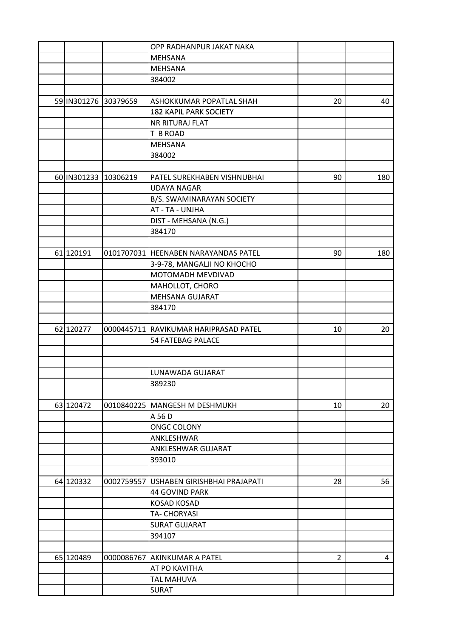|                      |                      | OPP RADHANPUR JAKAT NAKA              |                |     |
|----------------------|----------------------|---------------------------------------|----------------|-----|
|                      |                      | <b>MEHSANA</b>                        |                |     |
|                      |                      | <b>MEHSANA</b>                        |                |     |
|                      |                      | 384002                                |                |     |
|                      |                      |                                       |                |     |
| 59 IN301276 30379659 |                      | ASHOKKUMAR POPATLAL SHAH              | 20             | 40  |
|                      |                      | <b>182 KAPIL PARK SOCIETY</b>         |                |     |
|                      |                      | NR RITURAJ FLAT                       |                |     |
|                      |                      | T B ROAD                              |                |     |
|                      |                      | <b>MEHSANA</b>                        |                |     |
|                      |                      | 384002                                |                |     |
|                      |                      |                                       |                |     |
|                      | 60 IN301233 10306219 | PATEL SUREKHABEN VISHNUBHAI           | 90             | 180 |
|                      |                      | <b>UDAYA NAGAR</b>                    |                |     |
|                      |                      | B/S. SWAMINARAYAN SOCIETY             |                |     |
|                      |                      | AT - TA - UNJHA                       |                |     |
|                      |                      | DIST - MEHSANA (N.G.)                 |                |     |
|                      |                      | 384170                                |                |     |
|                      |                      |                                       |                |     |
| 61 120191            |                      | 0101707031 HEENABEN NARAYANDAS PATEL  | 90             | 180 |
|                      |                      | 3-9-78, MANGALJI NO KHOCHO            |                |     |
|                      |                      | MOTOMADH MEVDIVAD                     |                |     |
|                      |                      | MAHOLLOT, CHORO                       |                |     |
|                      |                      | MEHSANA GUJARAT                       |                |     |
|                      |                      | 384170                                |                |     |
|                      |                      |                                       |                |     |
| 62 120277            |                      | 0000445711 RAVIKUMAR HARIPRASAD PATEL | 10             | 20  |
|                      |                      | <b>54 FATEBAG PALACE</b>              |                |     |
|                      |                      |                                       |                |     |
|                      |                      |                                       |                |     |
|                      |                      | LUNAWADA GUJARAT                      |                |     |
|                      |                      | 389230                                |                |     |
|                      |                      |                                       |                |     |
| 63 120472            |                      | 0010840225   MANGESH M DESHMUKH       | 10             | 20  |
|                      |                      | A 56 D                                |                |     |
|                      |                      | <b>ONGC COLONY</b>                    |                |     |
|                      |                      | ANKLESHWAR                            |                |     |
|                      |                      | ANKLESHWAR GUJARAT                    |                |     |
|                      |                      | 393010                                |                |     |
|                      |                      |                                       |                |     |
| 64 120332            | 0002759557           | USHABEN GIRISHBHAI PRAJAPATI          | 28             | 56  |
|                      |                      | 44 GOVIND PARK                        |                |     |
|                      |                      | <b>KOSAD KOSAD</b>                    |                |     |
|                      |                      | TA- CHORYASI                          |                |     |
|                      |                      | <b>SURAT GUJARAT</b>                  |                |     |
|                      |                      | 394107                                |                |     |
|                      |                      |                                       |                |     |
| 65 120489            |                      | 0000086767 AKINKUMAR A PATEL          | $\overline{2}$ | 4   |
|                      |                      | AT PO KAVITHA                         |                |     |
|                      |                      | <b>TAL MAHUVA</b>                     |                |     |
|                      |                      |                                       |                |     |
|                      |                      | <b>SURAT</b>                          |                |     |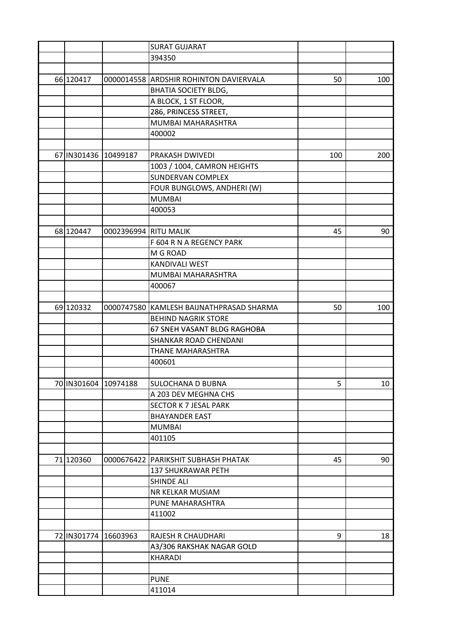| <b>SURAT GUJARAT</b>                    |                                                |     |
|-----------------------------------------|------------------------------------------------|-----|
| 394350                                  |                                                |     |
|                                         |                                                |     |
| 66 120417                               | 50<br>0000014558 ARDSHIR ROHINTON DAVIERVALA   | 100 |
|                                         | <b>BHATIA SOCIETY BLDG,</b>                    |     |
|                                         | A BLOCK, 1 ST FLOOR,                           |     |
|                                         | 286, PRINCESS STREET,                          |     |
|                                         | MUMBAI MAHARASHTRA                             |     |
| 400002                                  |                                                |     |
|                                         |                                                |     |
| 67 IN301436 10499187<br>PRAKASH DWIVEDI | 100                                            | 200 |
|                                         | 1003 / 1004, CAMRON HEIGHTS                    |     |
|                                         | SUNDERVAN COMPLEX                              |     |
|                                         | FOUR BUNGLOWS, ANDHERI (W)                     |     |
| <b>MUMBAI</b>                           |                                                |     |
| 400053                                  |                                                |     |
|                                         |                                                |     |
| 0002396994 RITU MALIK                   |                                                |     |
| 68 120447                               | 45                                             | 90  |
|                                         | F 604 R N A REGENCY PARK                       |     |
| M G ROAD                                |                                                |     |
| KANDIVALI WEST                          |                                                |     |
|                                         | MUMBAI MAHARASHTRA                             |     |
| 400067                                  |                                                |     |
|                                         |                                                |     |
| 69 120332                               | 0000747580 KAMLESH BAIJNATHPRASAD SHARMA<br>50 | 100 |
|                                         | <b>BEHIND NAGRIK STORE</b>                     |     |
|                                         | 67 SNEH VASANT BLDG RAGHOBA                    |     |
|                                         | SHANKAR ROAD CHENDANI                          |     |
|                                         | THANE MAHARASHTRA                              |     |
| 400601                                  |                                                |     |
|                                         |                                                |     |
| 70 IN301604 10974188                    | SULOCHANA D BUBNA<br>5                         | 10  |
|                                         | A 203 DEV MEGHNA CHS                           |     |
|                                         | <b>SECTOR K 7 JESAL PARK</b>                   |     |
| <b>BHAYANDER EAST</b>                   |                                                |     |
| <b>MUMBAI</b>                           |                                                |     |
| 401105                                  |                                                |     |
|                                         |                                                |     |
| 71 120360<br>0000676422                 | 45<br>PARIKSHIT SUBHASH PHATAK                 | 90  |
|                                         | <b>137 SHUKRAWAR PETH</b>                      |     |
| <b>SHINDE ALI</b>                       |                                                |     |
|                                         | NR KELKAR MUSIAM                               |     |
|                                         | PUNE MAHARASHTRA                               |     |
| 411002                                  |                                                |     |
|                                         |                                                |     |
| 72 IN301774<br>16603963                 | RAJESH R CHAUDHARI<br>9                        | 18  |
|                                         | A3/306 RAKSHAK NAGAR GOLD                      |     |
| <b>KHARADI</b>                          |                                                |     |
|                                         |                                                |     |
| <b>PUNE</b>                             |                                                |     |
| 411014                                  |                                                |     |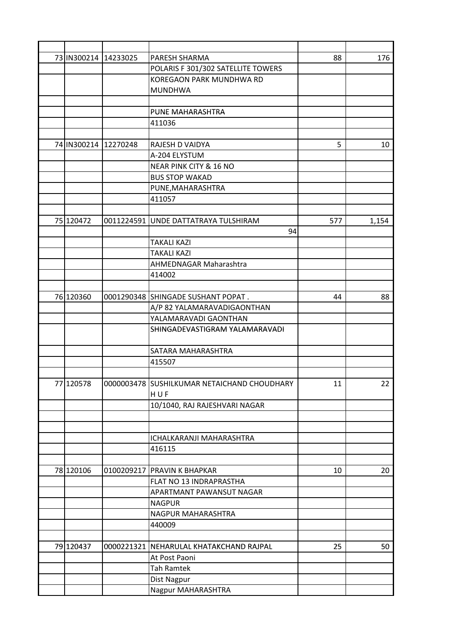|           | 73 IN300214 14233025 | PARESH SHARMA                               | 88  | 176   |
|-----------|----------------------|---------------------------------------------|-----|-------|
|           |                      | POLARIS F 301/302 SATELLITE TOWERS          |     |       |
|           |                      | <b>KOREGAON PARK MUNDHWA RD</b>             |     |       |
|           |                      | <b>MUNDHWA</b>                              |     |       |
|           |                      |                                             |     |       |
|           |                      | PUNE MAHARASHTRA                            |     |       |
|           |                      | 411036                                      |     |       |
|           |                      |                                             |     |       |
|           | 74 IN300214 12270248 | RAJESH D VAIDYA                             | 5   | 10    |
|           |                      | A-204 ELYSTUM                               |     |       |
|           |                      | NEAR PINK CITY & 16 NO                      |     |       |
|           |                      | <b>BUS STOP WAKAD</b>                       |     |       |
|           |                      | PUNE, MAHARASHTRA                           |     |       |
|           |                      | 411057                                      |     |       |
|           |                      |                                             |     |       |
| 75 120472 |                      | 0011224591 UNDE DATTATRAYA TULSHIRAM        | 577 | 1,154 |
|           |                      | 94                                          |     |       |
|           |                      | <b>TAKALI KAZI</b>                          |     |       |
|           |                      | <b>TAKALI KAZI</b>                          |     |       |
|           |                      | AHMEDNAGAR Maharashtra                      |     |       |
|           |                      | 414002                                      |     |       |
|           |                      |                                             |     |       |
| 76 120360 |                      | 0001290348 SHINGADE SUSHANT POPAT.          | 44  | 88    |
|           |                      | A/P 82 YALAMARAVADIGAONTHAN                 |     |       |
|           |                      | YALAMARAVADI GAONTHAN                       |     |       |
|           |                      | SHINGADEVASTIGRAM YALAMARAVADI              |     |       |
|           |                      | SATARA MAHARASHTRA                          |     |       |
|           |                      | 415507                                      |     |       |
|           |                      |                                             |     |       |
| 77 120578 |                      | 0000003478 SUSHILKUMAR NETAICHAND CHOUDHARY | 11  | 22    |
|           |                      | HUF                                         |     |       |
|           |                      | 10/1040, RAJ RAJESHVARI NAGAR               |     |       |
|           |                      |                                             |     |       |
|           |                      |                                             |     |       |
|           |                      | <b>ICHALKARANJI MAHARASHTRA</b>             |     |       |
|           |                      | 416115                                      |     |       |
|           |                      |                                             |     |       |
| 78 120106 |                      | 0100209217 PRAVIN K BHAPKAR                 | 10  | 20    |
|           |                      | FLAT NO 13 INDRAPRASTHA                     |     |       |
|           |                      | APARTMANT PAWANSUT NAGAR                    |     |       |
|           |                      | <b>NAGPUR</b>                               |     |       |
|           |                      | NAGPUR MAHARASHTRA                          |     |       |
|           |                      | 440009                                      |     |       |
|           |                      |                                             |     |       |
| 79 120437 | 0000221321           | NEHARULAL KHATAKCHAND RAJPAL                | 25  | 50    |
|           |                      | At Post Paoni                               |     |       |
|           |                      | <b>Tah Ramtek</b>                           |     |       |
|           |                      | Dist Nagpur                                 |     |       |
|           |                      | Nagpur MAHARASHTRA                          |     |       |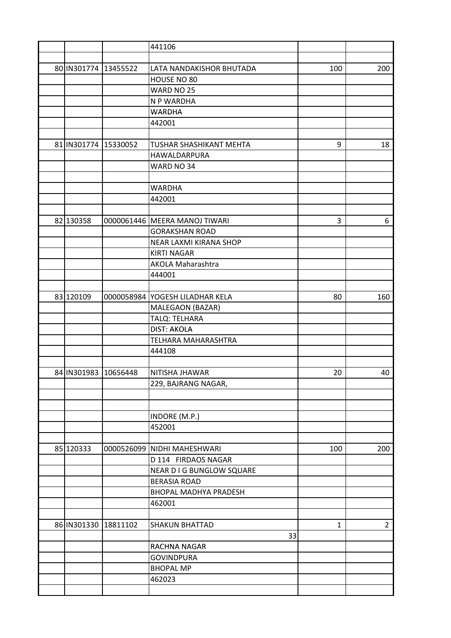|                      | 441106                                       |              |                |
|----------------------|----------------------------------------------|--------------|----------------|
|                      |                                              |              |                |
| 80 IN301774 13455522 | LATA NANDAKISHOR BHUTADA                     | 100          | 200            |
|                      | HOUSE NO 80                                  |              |                |
|                      | WARD NO 25                                   |              |                |
|                      | N P WARDHA                                   |              |                |
|                      | <b>WARDHA</b>                                |              |                |
|                      | 442001                                       |              |                |
|                      |                                              |              |                |
| 81 IN301774 15330052 | TUSHAR SHASHIKANT MEHTA                      | 9            | 18             |
|                      | HAWALDARPURA                                 |              |                |
|                      | WARD NO 34                                   |              |                |
|                      |                                              |              |                |
|                      | <b>WARDHA</b>                                |              |                |
|                      | 442001                                       |              |                |
|                      |                                              |              |                |
| 82 130358            | 0000061446   MEERA MANOJ TIWARI              | 3            | 6              |
|                      | <b>GORAKSHAN ROAD</b>                        |              |                |
|                      |                                              |              |                |
|                      | NEAR LAXMI KIRANA SHOP<br><b>KIRTI NAGAR</b> |              |                |
|                      |                                              |              |                |
|                      | <b>AKOLA Maharashtra</b>                     |              |                |
|                      | 444001                                       |              |                |
|                      |                                              |              |                |
| 83 120109            | 0000058984 YOGESH LILADHAR KELA              | 80           | 160            |
|                      | MALEGAON (BAZAR)                             |              |                |
|                      | TALQ: TELHARA                                |              |                |
|                      | <b>DIST: AKOLA</b>                           |              |                |
|                      | TELHARA MAHARASHTRA                          |              |                |
|                      | 444108                                       |              |                |
|                      |                                              |              |                |
| 84 IN301983 10656448 | NITISHA JHAWAR                               | 20           | 40             |
|                      | 229, BAJRANG NAGAR,                          |              |                |
|                      |                                              |              |                |
|                      |                                              |              |                |
|                      | INDORE (M.P.)                                |              |                |
|                      | 452001                                       |              |                |
|                      |                                              |              |                |
| 85 120333            | 0000526099 NIDHI MAHESHWARI                  | 100          | 200            |
|                      | D 114 FIRDAOS NAGAR                          |              |                |
|                      | NEAR D I G BUNGLOW SQUARE                    |              |                |
|                      | <b>BERASIA ROAD</b>                          |              |                |
|                      | BHOPAL MADHYA PRADESH                        |              |                |
|                      | 462001                                       |              |                |
|                      |                                              |              |                |
| 86 IN301330 18811102 | <b>SHAKUN BHATTAD</b>                        | $\mathbf{1}$ | $\overline{2}$ |
|                      | 33                                           |              |                |
|                      | RACHNA NAGAR                                 |              |                |
|                      | <b>GOVINDPURA</b>                            |              |                |
|                      | <b>BHOPAL MP</b>                             |              |                |
|                      | 462023                                       |              |                |
|                      |                                              |              |                |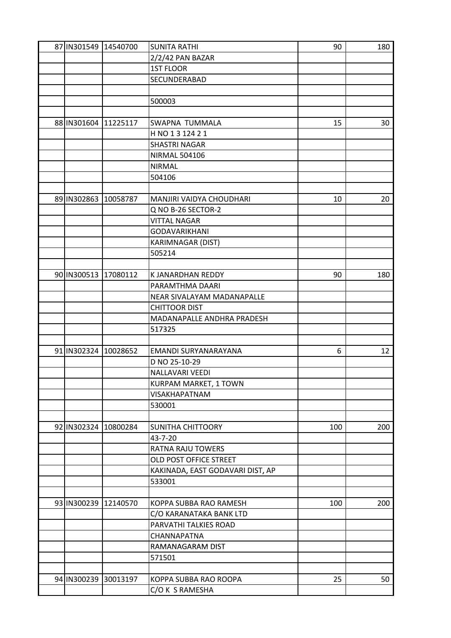| 87 IN301549 14540700 |                      | <b>SUNITA RATHI</b>              | 90  | 180             |
|----------------------|----------------------|----------------------------------|-----|-----------------|
|                      |                      | 2/2/42 PAN BAZAR                 |     |                 |
|                      |                      | <b>1ST FLOOR</b>                 |     |                 |
|                      |                      | SECUNDERABAD                     |     |                 |
|                      |                      |                                  |     |                 |
|                      |                      | 500003                           |     |                 |
|                      |                      |                                  |     |                 |
| 88 IN301604          | 11225117             | SWAPNA TUMMALA                   | 15  | 30              |
|                      |                      | H NO 1 3 124 2 1                 |     |                 |
|                      |                      | <b>SHASTRI NAGAR</b>             |     |                 |
|                      |                      | <b>NIRMAL 504106</b>             |     |                 |
|                      |                      | <b>NIRMAL</b>                    |     |                 |
|                      |                      | 504106                           |     |                 |
|                      |                      |                                  |     |                 |
| 89 IN302863          | 10058787             | MANJIRI VAIDYA CHOUDHARI         | 10  | 20              |
|                      |                      | Q NO B-26 SECTOR-2               |     |                 |
|                      |                      | <b>VITTAL NAGAR</b>              |     |                 |
|                      |                      | <b>GODAVARIKHANI</b>             |     |                 |
|                      |                      | KARIMNAGAR (DIST)                |     |                 |
|                      |                      | 505214                           |     |                 |
|                      |                      |                                  |     |                 |
| 90 IN300513          | 17080112             | K JANARDHAN REDDY                | 90  | 180             |
|                      |                      | PARAMTHMA DAARI                  |     |                 |
|                      |                      | NEAR SIVALAYAM MADANAPALLE       |     |                 |
|                      |                      | <b>CHITTOOR DIST</b>             |     |                 |
|                      |                      | MADANAPALLE ANDHRA PRADESH       |     |                 |
|                      |                      | 517325                           |     |                 |
|                      |                      |                                  |     |                 |
| 91 IN302324          | 10028652             | EMANDI SURYANARAYANA             | 6   | 12 <sup>2</sup> |
|                      |                      | D NO 25-10-29                    |     |                 |
|                      |                      | NALLAVARI VEEDI                  |     |                 |
|                      |                      | KURPAM MARKET, 1 TOWN            |     |                 |
|                      |                      | <b>VISAKHAPATNAM</b>             |     |                 |
|                      |                      | 530001                           |     |                 |
|                      |                      |                                  |     |                 |
| 92 IN302324          | 10800284             | <b>SUNITHA CHITTOORY</b>         | 100 | 200             |
|                      |                      | 43-7-20                          |     |                 |
|                      |                      | <b>RATNA RAJU TOWERS</b>         |     |                 |
|                      |                      | OLD POST OFFICE STREET           |     |                 |
|                      |                      | KAKINADA, EAST GODAVARI DIST, AP |     |                 |
|                      |                      | 533001                           |     |                 |
|                      |                      |                                  |     |                 |
|                      | 93 IN300239 12140570 | KOPPA SUBBA RAO RAMESH           | 100 | 200             |
|                      |                      | C/O KARANATAKA BANK LTD          |     |                 |
|                      |                      | PARVATHI TALKIES ROAD            |     |                 |
|                      |                      | CHANNAPATNA                      |     |                 |
|                      |                      | RAMANAGARAM DIST                 |     |                 |
|                      |                      | 571501                           |     |                 |
|                      |                      |                                  |     |                 |
|                      | 94 IN300239 30013197 | KOPPA SUBBA RAO ROOPA            | 25  | 50              |
|                      |                      | C/O K S RAMESHA                  |     |                 |
|                      |                      |                                  |     |                 |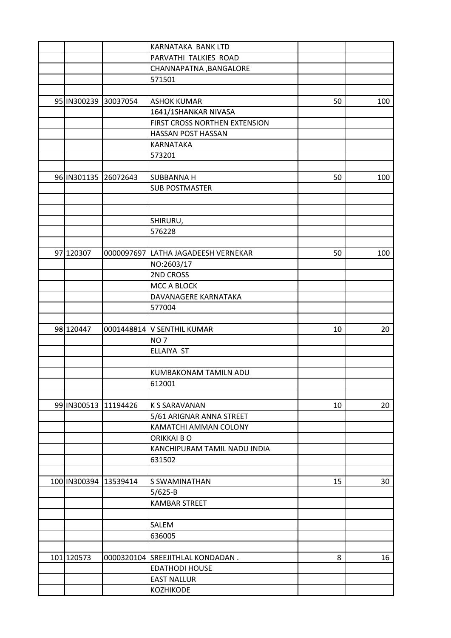|             |                       | KARNATAKA BANK LTD                  |    |     |
|-------------|-----------------------|-------------------------------------|----|-----|
|             |                       | PARVATHI TALKIES ROAD               |    |     |
|             |                       | CHANNAPATNA , BANGALORE             |    |     |
|             |                       | 571501                              |    |     |
|             |                       |                                     |    |     |
|             | 95 IN300239 30037054  | <b>ASHOK KUMAR</b>                  | 50 | 100 |
|             |                       | 1641/1SHANKAR NIVASA                |    |     |
|             |                       | FIRST CROSS NORTHEN EXTENSION       |    |     |
|             |                       | HASSAN POST HASSAN                  |    |     |
|             |                       | KARNATAKA                           |    |     |
|             |                       | 573201                              |    |     |
|             |                       |                                     |    |     |
| 96 IN301135 | 26072643              | <b>SUBBANNA H</b>                   | 50 | 100 |
|             |                       | <b>SUB POSTMASTER</b>               |    |     |
|             |                       |                                     |    |     |
|             |                       |                                     |    |     |
|             |                       | SHIRURU,                            |    |     |
|             |                       | 576228                              |    |     |
|             |                       |                                     |    |     |
| 97 120307   |                       | 0000097697 LATHA JAGADEESH VERNEKAR | 50 | 100 |
|             |                       | NO:2603/17                          |    |     |
|             |                       | 2ND CROSS                           |    |     |
|             |                       | MCC A BLOCK                         |    |     |
|             |                       | DAVANAGERE KARNATAKA                |    |     |
|             |                       | 577004                              |    |     |
|             |                       |                                     |    |     |
| 98 120447   |                       | 0001448814   V SENTHIL KUMAR        | 10 | 20  |
|             |                       | NO <sub>7</sub>                     |    |     |
|             |                       | ELLAIYA ST                          |    |     |
|             |                       |                                     |    |     |
|             |                       | KUMBAKONAM TAMILN ADU               |    |     |
|             |                       | 612001                              |    |     |
|             |                       |                                     |    |     |
|             | 99 IN300513 11194426  | <b>K S SARAVANAN</b>                | 10 | 20  |
|             |                       | 5/61 ARIGNAR ANNA STREET            |    |     |
|             |                       | KAMATCHI AMMAN COLONY               |    |     |
|             |                       | ORIKKAI BO                          |    |     |
|             |                       | KANCHIPURAM TAMIL NADU INDIA        |    |     |
|             |                       | 631502                              |    |     |
|             |                       |                                     |    |     |
|             | 100 IN300394 13539414 | S SWAMINATHAN                       | 15 | 30  |
|             |                       | $5/625 - B$                         |    |     |
|             |                       | <b>KAMBAR STREET</b>                |    |     |
|             |                       |                                     |    |     |
|             |                       | SALEM                               |    |     |
|             |                       | 636005                              |    |     |
|             |                       |                                     |    |     |
| 101 120573  |                       | 0000320104 SREEJITHLAL KONDADAN.    | 8  | 16  |
|             |                       | <b>EDATHODI HOUSE</b>               |    |     |
|             |                       | <b>EAST NALLUR</b>                  |    |     |
|             |                       | <b>KOZHIKODE</b>                    |    |     |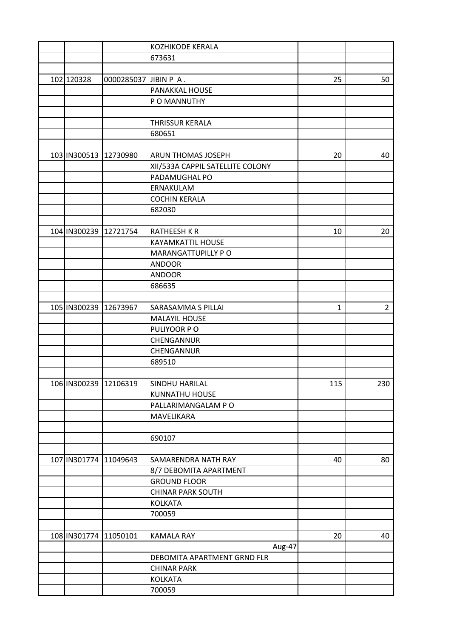|            |                        | <b>KOZHIKODE KERALA</b>          |     |             |
|------------|------------------------|----------------------------------|-----|-------------|
|            |                        | 673631                           |     |             |
|            |                        |                                  |     |             |
| 102 120328 | 0000285037 JJBIN P A.  |                                  | 25  | 50          |
|            |                        | PANAKKAL HOUSE                   |     |             |
|            |                        | P O MANNUTHY                     |     |             |
|            |                        |                                  |     |             |
|            |                        | <b>THRISSUR KERALA</b>           |     |             |
|            |                        | 680651                           |     |             |
|            |                        |                                  |     |             |
|            | 103 IN300513 12730980  | <b>ARUN THOMAS JOSEPH</b>        | 20  | 40          |
|            |                        | XII/533A CAPPIL SATELLITE COLONY |     |             |
|            |                        | PADAMUGHAL PO                    |     |             |
|            |                        |                                  |     |             |
|            |                        | ERNAKULAM                        |     |             |
|            |                        | <b>COCHIN KERALA</b>             |     |             |
|            |                        | 682030                           |     |             |
|            |                        |                                  |     |             |
|            | 104 IN300239 12721754  | <b>RATHEESH K R</b>              | 10  | 20          |
|            |                        | <b>KAYAMKATTIL HOUSE</b>         |     |             |
|            |                        | MARANGATTUPILLY PO               |     |             |
|            |                        | <b>ANDOOR</b>                    |     |             |
|            |                        | <b>ANDOOR</b>                    |     |             |
|            |                        | 686635                           |     |             |
|            |                        |                                  |     |             |
|            | 105 IN300239 12673967  | SARASAMMA S PILLAI               | 1   | $2^{\circ}$ |
|            |                        | <b>MALAYIL HOUSE</b>             |     |             |
|            |                        | PULIYOOR PO                      |     |             |
|            |                        | CHENGANNUR                       |     |             |
|            |                        | CHENGANNUR                       |     |             |
|            |                        | 689510                           |     |             |
|            |                        |                                  |     |             |
|            | 106 IN300239  12106319 | SINDHU HARILAL                   | 115 | 230         |
|            |                        | KUNNATHU HOUSE                   |     |             |
|            |                        | PALLARIMANGALAM PO               |     |             |
|            |                        | MAVELIKARA                       |     |             |
|            |                        |                                  |     |             |
|            |                        | 690107                           |     |             |
|            |                        |                                  |     |             |
|            | 107 IN301774 11049643  | SAMARENDRA NATH RAY              | 40  | 80          |
|            |                        | 8/7 DEBOMITA APARTMENT           |     |             |
|            |                        | <b>GROUND FLOOR</b>              |     |             |
|            |                        | <b>CHINAR PARK SOUTH</b>         |     |             |
|            |                        | <b>KOLKATA</b>                   |     |             |
|            |                        | 700059                           |     |             |
|            |                        |                                  |     |             |
|            |                        |                                  | 20  |             |
|            | 108 IN301774 11050101  | <b>KAMALA RAY</b>                |     | 40          |
|            |                        | Aug-47                           |     |             |
|            |                        | DEBOMITA APARTMENT GRND FLR      |     |             |
|            |                        | <b>CHINAR PARK</b>               |     |             |
|            |                        | <b>KOLKATA</b>                   |     |             |
|            |                        | 700059                           |     |             |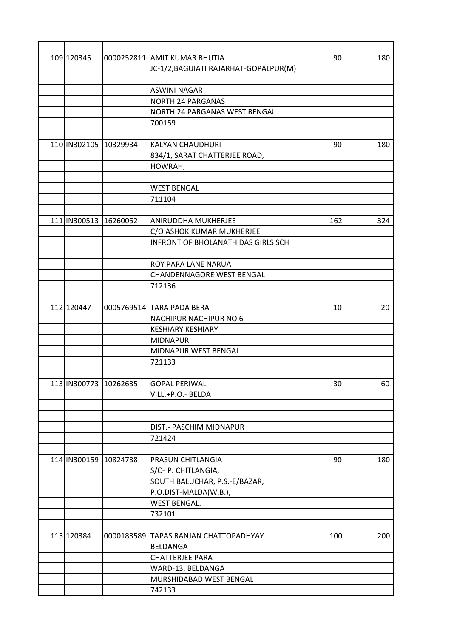| 109 120345                | 0000252811 AMIT KUMAR BHUTIA              | 90  | 180 |
|---------------------------|-------------------------------------------|-----|-----|
|                           | JC-1/2, BAGUIATI RAJARHAT-GOPALPUR(M)     |     |     |
|                           |                                           |     |     |
|                           | <b>ASWINI NAGAR</b>                       |     |     |
|                           | NORTH 24 PARGANAS                         |     |     |
|                           | NORTH 24 PARGANAS WEST BENGAL             |     |     |
|                           | 700159                                    |     |     |
|                           |                                           |     |     |
| 110 IN302105 10329934     | KALYAN CHAUDHURI                          | 90  | 180 |
|                           | 834/1, SARAT CHATTERJEE ROAD,             |     |     |
|                           | HOWRAH,                                   |     |     |
|                           |                                           |     |     |
|                           | <b>WEST BENGAL</b>                        |     |     |
|                           | 711104                                    |     |     |
|                           |                                           |     |     |
| 111   IN300513   16260052 | ANIRUDDHA MUKHERJEE                       | 162 | 324 |
|                           | C/O ASHOK KUMAR MUKHERJEE                 |     |     |
|                           | <b>INFRONT OF BHOLANATH DAS GIRLS SCH</b> |     |     |
|                           |                                           |     |     |
|                           | ROY PARA LANE NARUA                       |     |     |
|                           | CHANDENNAGORE WEST BENGAL                 |     |     |
|                           | 712136                                    |     |     |
|                           |                                           |     |     |
| 112 120447                | 0005769514 TARA PADA BERA                 | 10  | 20  |
|                           | <b>NACHIPUR NACHIPUR NO 6</b>             |     |     |
|                           | <b>KESHIARY KESHIARY</b>                  |     |     |
|                           | <b>MIDNAPUR</b>                           |     |     |
|                           | MIDNAPUR WEST BENGAL                      |     |     |
|                           | 721133                                    |     |     |
|                           |                                           |     |     |
| 113 IN300773  10262635    | <b>GOPAL PERIWAL</b>                      | 30  | 60  |
|                           | VILL.+P.O.- BELDA                         |     |     |
|                           |                                           |     |     |
|                           |                                           |     |     |
|                           | DIST.- PASCHIM MIDNAPUR                   |     |     |
|                           | 721424                                    |     |     |
|                           |                                           |     |     |
| 114 IN300159 10824738     | PRASUN CHITLANGIA                         | 90  | 180 |
|                           | S/O- P. CHITLANGIA,                       |     |     |
|                           | SOUTH BALUCHAR, P.S.-E/BAZAR,             |     |     |
|                           | P.O.DIST-MALDA(W.B.),                     |     |     |
|                           | <b>WEST BENGAL.</b>                       |     |     |
|                           | 732101                                    |     |     |
|                           |                                           |     |     |
| 115 120384                | 0000183589 TAPAS RANJAN CHATTOPADHYAY     | 100 | 200 |
|                           | BELDANGA                                  |     |     |
|                           | <b>CHATTERJEE PARA</b>                    |     |     |
|                           | WARD-13, BELDANGA                         |     |     |
|                           | MURSHIDABAD WEST BENGAL                   |     |     |
|                           | 742133                                    |     |     |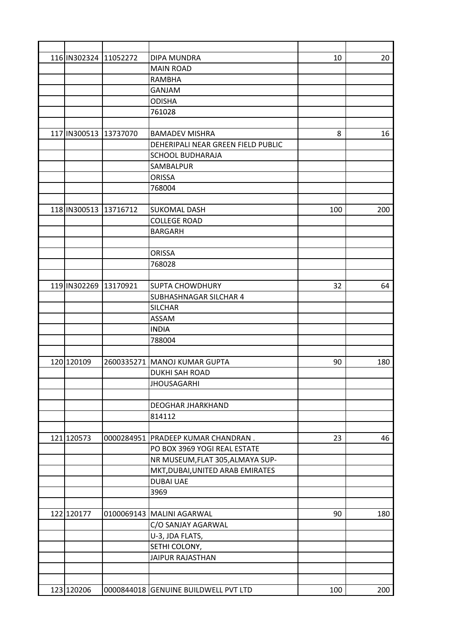| 116 IN302324 11052272 |            | DIPA MUNDRA                          | 10  | 20  |
|-----------------------|------------|--------------------------------------|-----|-----|
|                       |            | <b>MAIN ROAD</b>                     |     |     |
|                       |            | <b>RAMBHA</b>                        |     |     |
|                       |            | <b>GANJAM</b>                        |     |     |
|                       |            | <b>ODISHA</b>                        |     |     |
|                       |            | 761028                               |     |     |
|                       |            |                                      |     |     |
| 117 IN300513          | 13737070   | <b>BAMADEV MISHRA</b>                | 8   | 16  |
|                       |            | DEHERIPALI NEAR GREEN FIELD PUBLIC   |     |     |
|                       |            | <b>SCHOOL BUDHARAJA</b>              |     |     |
|                       |            | SAMBALPUR                            |     |     |
|                       |            | <b>ORISSA</b>                        |     |     |
|                       |            | 768004                               |     |     |
|                       |            |                                      |     |     |
| 118 IN300513 13716712 |            | <b>SUKOMAL DASH</b>                  | 100 | 200 |
|                       |            | <b>COLLEGE ROAD</b>                  |     |     |
|                       |            | <b>BARGARH</b>                       |     |     |
|                       |            |                                      |     |     |
|                       |            | <b>ORISSA</b>                        |     |     |
|                       |            | 768028                               |     |     |
|                       |            |                                      |     |     |
| 119 IN302269          | 13170921   | <b>SUPTA CHOWDHURY</b>               | 32  | 64  |
|                       |            | SUBHASHNAGAR SILCHAR 4               |     |     |
|                       |            | <b>SILCHAR</b>                       |     |     |
|                       |            | ASSAM                                |     |     |
|                       |            | <b>INDIA</b>                         |     |     |
|                       |            | 788004                               |     |     |
|                       |            |                                      |     |     |
| 120 120109            |            | 2600335271   MANOJ KUMAR GUPTA       | 90  | 180 |
|                       |            | <b>DUKHI SAH ROAD</b>                |     |     |
|                       |            | <b>JHOUSAGARHI</b>                   |     |     |
|                       |            |                                      |     |     |
|                       |            | DEOGHAR JHARKHAND                    |     |     |
|                       |            | 814112                               |     |     |
|                       |            |                                      |     |     |
| 121 120573            | 0000284951 | PRADEEP KUMAR CHANDRAN.              | 23  | 46  |
|                       |            | PO BOX 3969 YOGI REAL ESTATE         |     |     |
|                       |            | NR MUSEUM, FLAT 305, ALMAYA SUP-     |     |     |
|                       |            | MKT, DUBAI, UNITED ARAB EMIRATES     |     |     |
|                       |            | <b>DUBAI UAE</b>                     |     |     |
|                       |            | 3969                                 |     |     |
|                       |            |                                      |     |     |
| 122 120177            |            | 0100069143 MALINI AGARWAL            | 90  | 180 |
|                       |            | C/O SANJAY AGARWAL                   |     |     |
|                       |            | U-3, JDA FLATS,                      |     |     |
|                       |            | SETHI COLONY,                        |     |     |
|                       |            | <b>JAIPUR RAJASTHAN</b>              |     |     |
|                       |            |                                      |     |     |
|                       |            |                                      |     |     |
| 123 120206            |            | 0000844018 GENUINE BUILDWELL PVT LTD | 100 | 200 |
|                       |            |                                      |     |     |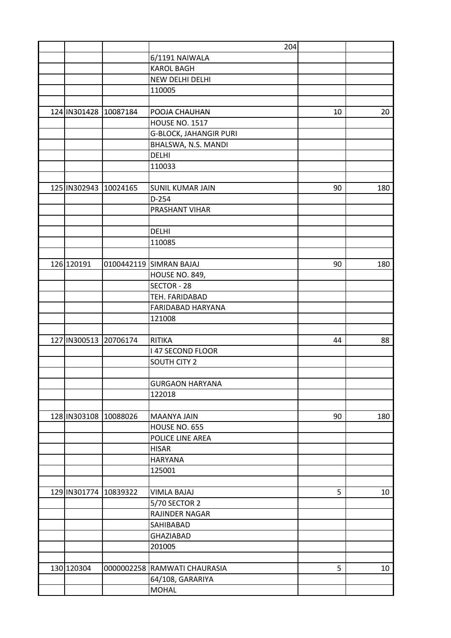|              |                           | 204                           |    |                 |
|--------------|---------------------------|-------------------------------|----|-----------------|
|              |                           | 6/1191 NAIWALA                |    |                 |
|              |                           | <b>KAROL BAGH</b>             |    |                 |
|              |                           | NEW DELHI DELHI               |    |                 |
|              |                           | 110005                        |    |                 |
|              |                           |                               |    |                 |
|              | 124 IN301428 10087184     | POOJA CHAUHAN                 | 10 | 20              |
|              |                           | <b>HOUSE NO. 1517</b>         |    |                 |
|              |                           | <b>G-BLOCK, JAHANGIR PURI</b> |    |                 |
|              |                           | BHALSWA, N.S. MANDI           |    |                 |
|              |                           | <b>DELHI</b>                  |    |                 |
|              |                           | 110033                        |    |                 |
|              |                           |                               |    |                 |
| 125 IN302943 | 10024165                  | <b>SUNIL KUMAR JAIN</b>       | 90 | 180             |
|              |                           | $D-254$                       |    |                 |
|              |                           | PRASHANT VIHAR                |    |                 |
|              |                           |                               |    |                 |
|              |                           | DELHI                         |    |                 |
|              |                           | 110085                        |    |                 |
|              |                           |                               |    |                 |
| 126 120191   |                           | 0100442119 SIMRAN BAJAJ       | 90 | 180             |
|              |                           | <b>HOUSE NO. 849,</b>         |    |                 |
|              |                           | SECTOR - 28                   |    |                 |
|              |                           | TEH. FARIDABAD                |    |                 |
|              |                           | FARIDABAD HARYANA             |    |                 |
|              |                           | 121008                        |    |                 |
|              |                           |                               |    |                 |
|              | 127 IN300513 20706174     | <b>RITIKA</b>                 | 44 | 88              |
|              |                           | <b>147 SECOND FLOOR</b>       |    |                 |
|              |                           | SOUTH CITY 2                  |    |                 |
|              |                           |                               |    |                 |
|              |                           | <b>GURGAON HARYANA</b>        |    |                 |
|              |                           | 122018                        |    |                 |
|              |                           |                               |    |                 |
|              | 128   IN303108   10088026 | <b>MAANYA JAIN</b>            | 90 | 180             |
|              |                           | HOUSE NO. 655                 |    |                 |
|              |                           | POLICE LINE AREA              |    |                 |
|              |                           | <b>HISAR</b>                  |    |                 |
|              |                           | <b>HARYANA</b>                |    |                 |
|              |                           | 125001                        |    |                 |
|              |                           |                               |    |                 |
|              | 129 IN301774 10839322     | <b>VIMLA BAJAJ</b>            | 5  | 10              |
|              |                           | 5/70 SECTOR 2                 |    |                 |
|              |                           | RAJINDER NAGAR                |    |                 |
|              |                           | SAHIBABAD                     |    |                 |
|              |                           | GHAZIABAD                     |    |                 |
|              |                           | 201005                        |    |                 |
|              |                           |                               |    |                 |
| 130 120304   |                           | 0000002258 RAMWATI CHAURASIA  | 5  | 10 <sub>1</sub> |
|              |                           | 64/108, GARARIYA              |    |                 |
|              |                           | <b>MOHAL</b>                  |    |                 |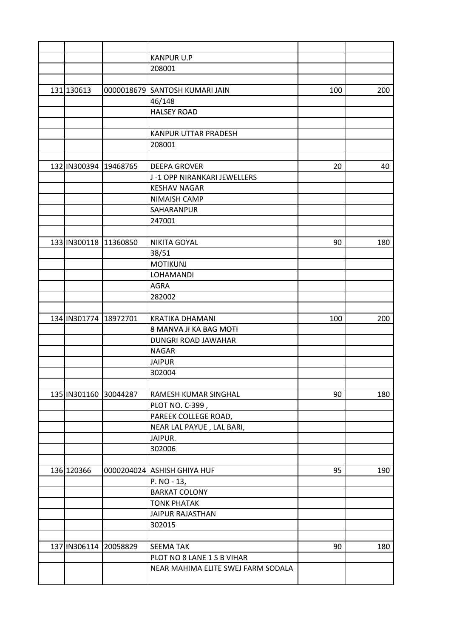|                       |          | <b>KANPUR U.P</b>                  |     |     |
|-----------------------|----------|------------------------------------|-----|-----|
|                       |          | 208001                             |     |     |
|                       |          |                                    |     |     |
| 131 130613            |          | 0000018679 SANTOSH KUMARI JAIN     | 100 | 200 |
|                       |          | 46/148                             |     |     |
|                       |          | <b>HALSEY ROAD</b>                 |     |     |
|                       |          |                                    |     |     |
|                       |          | <b>KANPUR UTTAR PRADESH</b>        |     |     |
|                       |          | 208001                             |     |     |
|                       |          |                                    |     |     |
| 132 IN300394 19468765 |          | <b>DEEPA GROVER</b>                | 20  | 40  |
|                       |          | J-1 OPP NIRANKARI JEWELLERS        |     |     |
|                       |          | <b>KESHAV NAGAR</b>                |     |     |
|                       |          | NIMAISH CAMP                       |     |     |
|                       |          | SAHARANPUR                         |     |     |
|                       |          | 247001                             |     |     |
|                       |          |                                    |     |     |
| 133 IN300118          | 11360850 | <b>NIKITA GOYAL</b>                | 90  | 180 |
|                       |          | 38/51                              |     |     |
|                       |          | <b>MOTIKUNJ</b>                    |     |     |
|                       |          | LOHAMANDI                          |     |     |
|                       |          | <b>AGRA</b>                        |     |     |
|                       |          | 282002                             |     |     |
|                       |          |                                    |     |     |
| 134 IN301774          | 18972701 | <b>KRATIKA DHAMANI</b>             | 100 | 200 |
|                       |          | 8 MANVA JI KA BAG MOTI             |     |     |
|                       |          | DUNGRI ROAD JAWAHAR                |     |     |
|                       |          | <b>NAGAR</b>                       |     |     |
|                       |          | <b>JAIPUR</b>                      |     |     |
|                       |          | 302004                             |     |     |
|                       |          |                                    |     |     |
| 135 IN301160 30044287 |          | RAMESH KUMAR SINGHAL               | 90  | 180 |
|                       |          | PLOT NO. C-399,                    |     |     |
|                       |          | PAREEK COLLEGE ROAD,               |     |     |
|                       |          | NEAR LAL PAYUE, LAL BARI,          |     |     |
|                       |          | JAIPUR.                            |     |     |
|                       |          | 302006                             |     |     |
|                       |          |                                    |     |     |
| 136 120366            |          | 0000204024 ASHISH GHIYA HUF        | 95  | 190 |
|                       |          | P. NO - 13,                        |     |     |
|                       |          | <b>BARKAT COLONY</b>               |     |     |
|                       |          | <b>TONK PHATAK</b>                 |     |     |
|                       |          | <b>JAIPUR RAJASTHAN</b>            |     |     |
|                       |          | 302015                             |     |     |
|                       |          |                                    |     |     |
| 137 IN306114 20058829 |          | <b>SEEMA TAK</b>                   | 90  | 180 |
|                       |          | PLOT NO 8 LANE 1 S B VIHAR         |     |     |
|                       |          | NEAR MAHIMA ELITE SWEJ FARM SODALA |     |     |
|                       |          |                                    |     |     |
|                       |          |                                    |     |     |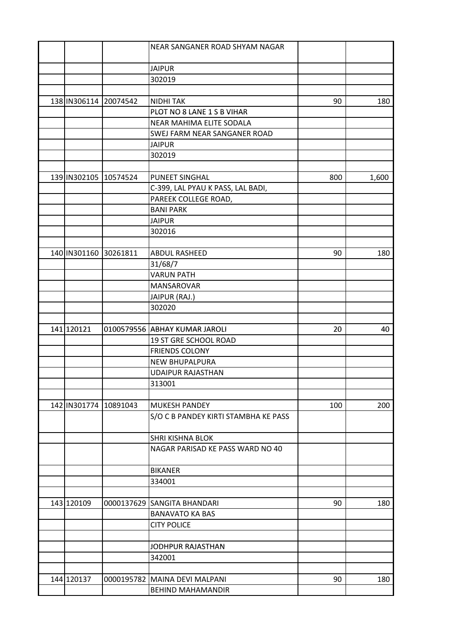|                       |          | NEAR SANGANER ROAD SHYAM NAGAR       |     |       |
|-----------------------|----------|--------------------------------------|-----|-------|
|                       |          |                                      |     |       |
|                       |          | <b>JAIPUR</b>                        |     |       |
|                       |          | 302019                               |     |       |
|                       |          |                                      |     |       |
| 138 IN306114 20074542 |          | <b>NIDHI TAK</b>                     | 90  | 180   |
|                       |          | PLOT NO 8 LANE 1 S B VIHAR           |     |       |
|                       |          | NEAR MAHIMA ELITE SODALA             |     |       |
|                       |          | SWEJ FARM NEAR SANGANER ROAD         |     |       |
|                       |          | <b>JAIPUR</b>                        |     |       |
|                       |          | 302019                               |     |       |
|                       |          |                                      |     |       |
| 139 IN302105          | 10574524 | PUNEET SINGHAL                       | 800 | 1,600 |
|                       |          | C-399, LAL PYAU K PASS, LAL BADI,    |     |       |
|                       |          | PAREEK COLLEGE ROAD,                 |     |       |
|                       |          | <b>BANI PARK</b>                     |     |       |
|                       |          | <b>JAIPUR</b>                        |     |       |
|                       |          | 302016                               |     |       |
|                       |          |                                      |     |       |
| 140 IN301160          | 30261811 | ABDUL RASHEED                        | 90  | 180   |
|                       |          | 31/68/7                              |     |       |
|                       |          | <b>VARUN PATH</b>                    |     |       |
|                       |          | MANSAROVAR                           |     |       |
|                       |          | JAIPUR (RAJ.)                        |     |       |
|                       |          | 302020                               |     |       |
|                       |          |                                      |     |       |
| 141 120121            |          | 0100579556 ABHAY KUMAR JAROLI        | 20  | 40    |
|                       |          | 19 ST GRE SCHOOL ROAD                |     |       |
|                       |          | <b>FRIENDS COLONY</b>                |     |       |
|                       |          |                                      |     |       |
|                       |          | NEW BHUPALPURA                       |     |       |
|                       |          | <b>UDAIPUR RAJASTHAN</b>             |     |       |
|                       |          | 313001                               |     |       |
|                       |          |                                      |     |       |
| 142 IN301774 10891043 |          | <b>MUKESH PANDEY</b>                 | 100 | 200   |
|                       |          | S/O C B PANDEY KIRTI STAMBHA KE PASS |     |       |
|                       |          |                                      |     |       |
|                       |          | <b>SHRI KISHNA BLOK</b>              |     |       |
|                       |          | NAGAR PARISAD KE PASS WARD NO 40     |     |       |
|                       |          |                                      |     |       |
|                       |          | <b>BIKANER</b>                       |     |       |
|                       |          | 334001                               |     |       |
|                       |          |                                      |     |       |
| 143 120109            |          | 0000137629 SANGITA BHANDARI          | 90  | 180   |
|                       |          | <b>BANAVATO KA BAS</b>               |     |       |
|                       |          | <b>CITY POLICE</b>                   |     |       |
|                       |          |                                      |     |       |
|                       |          | <b>JODHPUR RAJASTHAN</b>             |     |       |
|                       |          | 342001                               |     |       |
|                       |          |                                      |     |       |
| 144 120137            |          | 0000195782   MAINA DEVI MALPANI      | 90  | 180   |
|                       |          | <b>BEHIND MAHAMANDIR</b>             |     |       |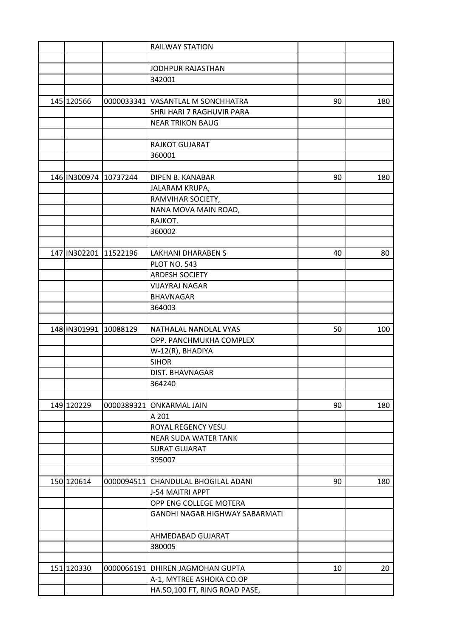|              |                       | <b>RAILWAY STATION</b>                |    |     |
|--------------|-----------------------|---------------------------------------|----|-----|
|              |                       |                                       |    |     |
|              |                       | JODHPUR RAJASTHAN                     |    |     |
|              |                       | 342001                                |    |     |
|              |                       |                                       |    |     |
| 145 120566   |                       | 0000033341 VASANTLAL M SONCHHATRA     | 90 | 180 |
|              |                       | SHRI HARI 7 RAGHUVIR PARA             |    |     |
|              |                       | <b>NEAR TRIKON BAUG</b>               |    |     |
|              |                       |                                       |    |     |
|              |                       | RAJKOT GUJARAT                        |    |     |
|              |                       | 360001                                |    |     |
|              |                       |                                       |    |     |
|              | 146 IN300974 10737244 | DIPEN B. KANABAR                      | 90 | 180 |
|              |                       | JALARAM KRUPA,                        |    |     |
|              |                       | RAMVIHAR SOCIETY,                     |    |     |
|              |                       | NANA MOVA MAIN ROAD,                  |    |     |
|              |                       | RAJKOT.                               |    |     |
|              |                       | 360002                                |    |     |
|              |                       |                                       |    |     |
| 147 IN302201 | 11522196              | <b>LAKHANI DHARABEN S</b>             | 40 | 80  |
|              |                       | <b>PLOT NO. 543</b>                   |    |     |
|              |                       | <b>ARDESH SOCIETY</b>                 |    |     |
|              |                       | <b>VIJAYRAJ NAGAR</b>                 |    |     |
|              |                       | <b>BHAVNAGAR</b>                      |    |     |
|              |                       | 364003                                |    |     |
|              |                       |                                       |    |     |
|              | 148 IN301991 10088129 | NATHALAL NANDLAL VYAS                 | 50 | 100 |
|              |                       | OPP. PANCHMUKHA COMPLEX               |    |     |
|              |                       | W-12(R), BHADIYA                      |    |     |
|              |                       | <b>SIHOR</b>                          |    |     |
|              |                       | DIST. BHAVNAGAR                       |    |     |
|              |                       | 364240                                |    |     |
|              |                       |                                       |    |     |
| 149 120229   | 0000389321            | <b>ONKARMAL JAIN</b>                  | 90 | 180 |
|              |                       | A 201                                 |    |     |
|              |                       | ROYAL REGENCY VESU                    |    |     |
|              |                       | <b>NEAR SUDA WATER TANK</b>           |    |     |
|              |                       | <b>SURAT GUJARAT</b>                  |    |     |
|              |                       | 395007                                |    |     |
|              |                       |                                       |    |     |
| 150 120614   | 0000094511            | CHANDULAL BHOGILAL ADANI              | 90 | 180 |
|              |                       | <b>J-54 MAITRI APPT</b>               |    |     |
|              |                       | OPP ENG COLLEGE MOTERA                |    |     |
|              |                       | <b>GANDHI NAGAR HIGHWAY SABARMATI</b> |    |     |
|              |                       |                                       |    |     |
|              |                       | AHMEDABAD GUJARAT                     |    |     |
|              |                       | 380005                                |    |     |
|              |                       |                                       |    |     |
| 151 120330   | 0000066191            | DHIREN JAGMOHAN GUPTA                 | 10 | 20  |
|              |                       | A-1, MYTREE ASHOKA CO.OP              |    |     |
|              |                       | HA.SO,100 FT, RING ROAD PASE,         |    |     |
|              |                       |                                       |    |     |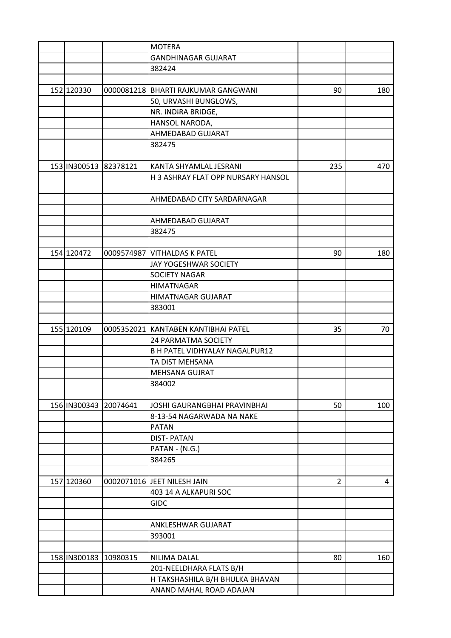|                       |          | <b>MOTERA</b>                         |                |     |
|-----------------------|----------|---------------------------------------|----------------|-----|
|                       |          | <b>GANDHINAGAR GUJARAT</b>            |                |     |
|                       |          | 382424                                |                |     |
|                       |          |                                       |                |     |
| 152 120330            |          | 0000081218 BHARTI RAJKUMAR GANGWANI   | 90             | 180 |
|                       |          | 50, URVASHI BUNGLOWS,                 |                |     |
|                       |          | NR. INDIRA BRIDGE,                    |                |     |
|                       |          | HANSOL NARODA,                        |                |     |
|                       |          | AHMEDABAD GUJARAT                     |                |     |
|                       |          | 382475                                |                |     |
|                       |          |                                       |                |     |
| 153 IN300513 82378121 |          | KANTA SHYAMLAL JESRANI                | 235            | 470 |
|                       |          | H 3 ASHRAY FLAT OPP NURSARY HANSOL    |                |     |
|                       |          |                                       |                |     |
|                       |          | AHMEDABAD CITY SARDARNAGAR            |                |     |
|                       |          |                                       |                |     |
|                       |          | AHMEDABAD GUJARAT                     |                |     |
|                       |          | 382475                                |                |     |
|                       |          |                                       |                |     |
| 154 120472            |          | 0009574987 VITHALDAS K PATEL          | 90             | 180 |
|                       |          | JAY YOGESHWAR SOCIETY                 |                |     |
|                       |          | SOCIETY NAGAR                         |                |     |
|                       |          | <b>HIMATNAGAR</b>                     |                |     |
|                       |          | HIMATNAGAR GUJARAT                    |                |     |
|                       |          | 383001                                |                |     |
|                       |          |                                       |                |     |
| 155 120109            |          | 0005352021 KANTABEN KANTIBHAI PATEL   | 35             | 70  |
|                       |          | 24 PARMATMA SOCIETY                   |                |     |
|                       |          | <b>B H PATEL VIDHYALAY NAGALPUR12</b> |                |     |
|                       |          | TA DIST MEHSANA                       |                |     |
|                       |          | <b>MEHSANA GUJRAT</b>                 |                |     |
|                       |          | 384002                                |                |     |
|                       |          |                                       |                |     |
| 156 IN300343 20074641 |          | JOSHI GAURANGBHAI PRAVINBHAI          | 50             | 100 |
|                       |          | 8-13-54 NAGARWADA NA NAKE             |                |     |
|                       |          | <b>PATAN</b>                          |                |     |
|                       |          | <b>DIST-PATAN</b>                     |                |     |
|                       |          | PATAN - (N.G.)                        |                |     |
|                       |          | 384265                                |                |     |
|                       |          |                                       |                |     |
| 157 120360            |          | 0002071016 JEET NILESH JAIN           | $\overline{2}$ | 4   |
|                       |          | 403 14 A ALKAPURI SOC                 |                |     |
|                       |          | <b>GIDC</b>                           |                |     |
|                       |          |                                       |                |     |
|                       |          | ANKLESHWAR GUJARAT                    |                |     |
|                       |          | 393001                                |                |     |
|                       |          |                                       |                |     |
| 158 IN300183          | 10980315 | NILIMA DALAL                          | 80             | 160 |
|                       |          | 201-NEELDHARA FLATS B/H               |                |     |
|                       |          | H TAKSHASHILA B/H BHULKA BHAVAN       |                |     |
|                       |          | ANAND MAHAL ROAD ADAJAN               |                |     |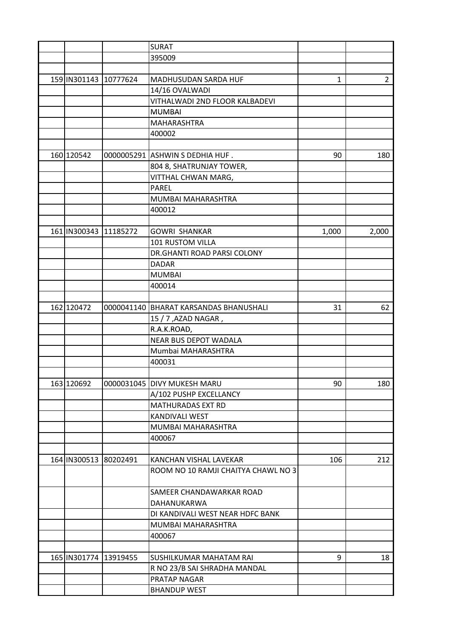|                       |                       | <b>SURAT</b>                             |       |                |
|-----------------------|-----------------------|------------------------------------------|-------|----------------|
|                       |                       | 395009                                   |       |                |
|                       |                       |                                          |       |                |
| 159 IN301143 10777624 |                       | MADHUSUDAN SARDA HUF                     | 1     | $\overline{2}$ |
|                       |                       | 14/16 OVALWADI                           |       |                |
|                       |                       | VITHALWADI 2ND FLOOR KALBADEVI           |       |                |
|                       |                       | <b>MUMBAI</b>                            |       |                |
|                       |                       | MAHARASHTRA                              |       |                |
|                       |                       | 400002                                   |       |                |
|                       |                       |                                          |       |                |
| 160 120542            |                       | 0000005291 ASHWIN S DEDHIA HUF.          | 90    | 180            |
|                       |                       | 804 8, SHATRUNJAY TOWER,                 |       |                |
|                       |                       | VITTHAL CHWAN MARG,                      |       |                |
|                       |                       | <b>PAREL</b>                             |       |                |
|                       |                       |                                          |       |                |
|                       |                       | MUMBAI MAHARASHTRA                       |       |                |
|                       |                       | 400012                                   |       |                |
|                       |                       |                                          |       |                |
| 161 IN300343          | 11185272              | <b>GOWRI SHANKAR</b>                     | 1,000 | 2,000          |
|                       |                       | 101 RUSTOM VILLA                         |       |                |
|                       |                       | DR.GHANTI ROAD PARSI COLONY              |       |                |
|                       |                       | <b>DADAR</b>                             |       |                |
|                       |                       | <b>MUMBAI</b>                            |       |                |
|                       |                       | 400014                                   |       |                |
|                       |                       |                                          |       |                |
| 162 120472            |                       | 0000041140   BHARAT KARSANDAS BHANUSHALI | 31    | 62             |
|                       |                       | 15 / 7, AZAD NAGAR,                      |       |                |
|                       |                       | R.A.K.ROAD,                              |       |                |
|                       |                       | <b>NEAR BUS DEPOT WADALA</b>             |       |                |
|                       |                       | Mumbai MAHARASHTRA                       |       |                |
|                       |                       | 400031                                   |       |                |
|                       |                       |                                          |       |                |
| 163 120692            |                       | 0000031045   DIVY MUKESH MARU            | 90    | 180            |
|                       |                       | A/102 PUSHP EXCELLANCY                   |       |                |
|                       |                       | MATHURADAS EXT RD                        |       |                |
|                       |                       | KANDIVALI WEST                           |       |                |
|                       |                       | MUMBAI MAHARASHTRA                       |       |                |
|                       |                       | 400067                                   |       |                |
|                       |                       |                                          |       |                |
| 164 IN300513 80202491 |                       | KANCHAN VISHAL LAVEKAR                   | 106   | 212            |
|                       |                       | ROOM NO 10 RAMJI CHAITYA CHAWL NO 3      |       |                |
|                       |                       |                                          |       |                |
|                       |                       | SAMEER CHANDAWARKAR ROAD                 |       |                |
|                       |                       | DAHANUKARWA                              |       |                |
|                       |                       | DI KANDIVALI WEST NEAR HDFC BANK         |       |                |
|                       |                       | MUMBAI MAHARASHTRA                       |       |                |
|                       |                       |                                          |       |                |
|                       |                       | 400067                                   |       |                |
|                       |                       |                                          |       |                |
|                       | 165 IN301774 13919455 | SUSHILKUMAR MAHATAM RAI                  | 9     | 18             |
|                       |                       | R NO 23/B SAI SHRADHA MANDAL             |       |                |
|                       |                       | PRATAP NAGAR                             |       |                |
|                       |                       | <b>BHANDUP WEST</b>                      |       |                |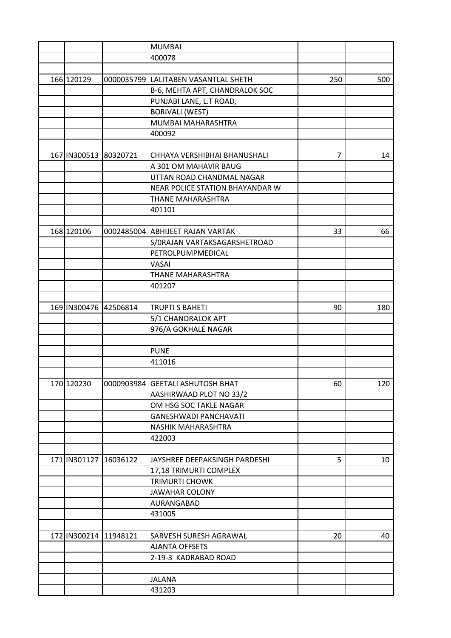|                           | <b>MUMBAI</b>                                 |                |     |
|---------------------------|-----------------------------------------------|----------------|-----|
|                           | 400078                                        |                |     |
|                           |                                               |                |     |
| 166 120129                | 0000035799 LALITABEN VASANTLAL SHETH          | 250            | 500 |
|                           | B-6, MEHTA APT, CHANDRALOK SOC                |                |     |
|                           | PUNJABI LANE, L.T ROAD,                       |                |     |
|                           | <b>BORIVALI (WEST)</b>                        |                |     |
|                           | MUMBAI MAHARASHTRA                            |                |     |
|                           | 400092                                        |                |     |
|                           |                                               |                |     |
| 167   IN300513 80320721   | CHHAYA VERSHIBHAI BHANUSHALI                  | $\overline{7}$ | 14  |
|                           | A 301 OM MAHAVIR BAUG                         |                |     |
|                           | UTTAN ROAD CHANDMAL NAGAR                     |                |     |
|                           |                                               |                |     |
|                           | NEAR POLICE STATION BHAYANDAR W               |                |     |
|                           | <b>THANE MAHARASHTRA</b>                      |                |     |
|                           | 401101                                        |                |     |
|                           |                                               |                |     |
| 168 120106                | 0002485004 ABHIJEET RAJAN VARTAK              | 33             | 66  |
|                           | S/ORAJAN VARTAKSAGARSHETROAD                  |                |     |
|                           | PETROLPUMPMEDICAL                             |                |     |
|                           | VASAI                                         |                |     |
|                           | THANE MAHARASHTRA                             |                |     |
|                           | 401207                                        |                |     |
|                           |                                               |                |     |
| 169 IN300476 42506814     | <b>TRUPTI S BAHETI</b>                        | 90             | 180 |
|                           | 5/1 CHANDRALOK APT                            |                |     |
|                           | 976/A GOKHALE NAGAR                           |                |     |
|                           |                                               |                |     |
|                           | <b>PUNE</b>                                   |                |     |
|                           | 411016                                        |                |     |
|                           |                                               |                |     |
| 170 120230                | 0000903984   GEETALI ASHUTOSH BHAT            | 60             | 120 |
|                           | AASHIRWAAD PLOT NO 33/2                       |                |     |
|                           | OM HSG SOC TAKLE NAGAR                        |                |     |
|                           | <b>GANESHWADI PANCHAVATI</b>                  |                |     |
|                           | NASHIK MAHARASHTRA                            |                |     |
|                           | 422003                                        |                |     |
|                           |                                               |                |     |
| 171   IN301127   16036122 | JAYSHREE DEEPAKSINGH PARDESHI                 | 5              | 10  |
|                           | 17,18 TRIMURTI COMPLEX                        |                |     |
|                           | <b>TRIMURTI CHOWK</b>                         |                |     |
|                           | <b>JAWAHAR COLONY</b>                         |                |     |
|                           | AURANGABAD                                    |                |     |
|                           | 431005                                        |                |     |
|                           |                                               |                |     |
| 172 IN300214 11948121     | SARVESH SURESH AGRAWAL                        | 20             | 40  |
|                           |                                               |                |     |
|                           | <b>AJANTA OFFSETS</b><br>2-19-3 KADRABAD ROAD |                |     |
|                           |                                               |                |     |
|                           |                                               |                |     |
|                           | <b>JALANA</b>                                 |                |     |
|                           | 431203                                        |                |     |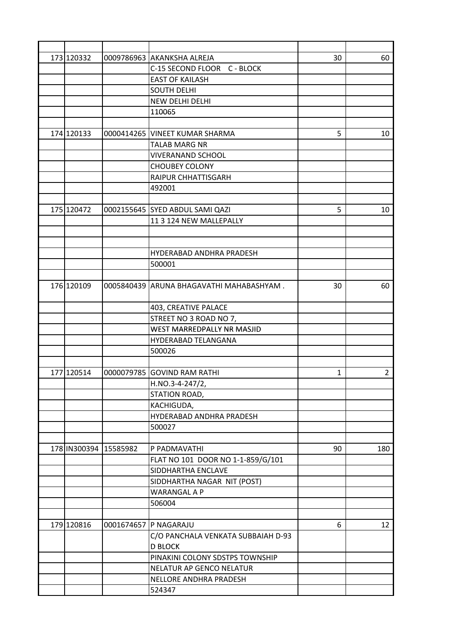| 173 120332 |                       | 0009786963 AKANKSHA ALREJA               | 30 | 60             |
|------------|-----------------------|------------------------------------------|----|----------------|
|            |                       | C-15 SECOND FLOOR C - BLOCK              |    |                |
|            |                       | <b>EAST OF KAILASH</b>                   |    |                |
|            |                       | <b>SOUTH DELHI</b>                       |    |                |
|            |                       | NEW DELHI DELHI                          |    |                |
|            |                       | 110065                                   |    |                |
|            |                       |                                          |    |                |
| 174120133  |                       | 0000414265 VINEET KUMAR SHARMA           | 5  | 10             |
|            |                       | <b>TALAB MARG NR</b>                     |    |                |
|            |                       | <b>VIVERANAND SCHOOL</b>                 |    |                |
|            |                       | <b>CHOUBEY COLONY</b>                    |    |                |
|            |                       | RAIPUR CHHATTISGARH                      |    |                |
|            |                       | 492001                                   |    |                |
|            |                       |                                          |    |                |
| 175 120472 |                       | 0002155645 SYED ABDUL SAMI QAZI          | 5  | 10             |
|            |                       | 11 3 124 NEW MALLEPALLY                  |    |                |
|            |                       |                                          |    |                |
|            |                       |                                          |    |                |
|            |                       | HYDERABAD ANDHRA PRADESH                 |    |                |
|            |                       | 500001                                   |    |                |
|            |                       |                                          |    |                |
| 176 120109 |                       | 0005840439 ARUNA BHAGAVATHI MAHABASHYAM. | 30 | 60             |
|            |                       |                                          |    |                |
|            |                       | 403, CREATIVE PALACE                     |    |                |
|            |                       | STREET NO 3 ROAD NO 7,                   |    |                |
|            |                       | WEST MARREDPALLY NR MASJID               |    |                |
|            |                       | HYDERABAD TELANGANA                      |    |                |
|            |                       | 500026                                   |    |                |
|            |                       |                                          |    |                |
| 177 120514 |                       | 0000079785 GOVIND RAM RATHI              | 1  | $\overline{2}$ |
|            |                       | $H.NO.3-4-247/2,$                        |    |                |
|            |                       | STATION ROAD,                            |    |                |
|            |                       | KACHIGUDA,                               |    |                |
|            |                       | HYDERABAD ANDHRA PRADESH                 |    |                |
|            |                       | 500027                                   |    |                |
|            |                       |                                          |    |                |
|            | 178 IN300394 15585982 | P PADMAVATHI                             | 90 | 180            |
|            |                       | FLAT NO 101 DOOR NO 1-1-859/G/101        |    |                |
|            |                       | SIDDHARTHA ENCLAVE                       |    |                |
|            |                       | SIDDHARTHA NAGAR NIT (POST)              |    |                |
|            |                       | WARANGAL A P                             |    |                |
|            |                       | 506004                                   |    |                |
|            |                       |                                          |    |                |
| 179 120816 |                       | 0001674657 P NAGARAJU                    | 6  | 12             |
|            |                       | C/O PANCHALA VENKATA SUBBAIAH D-93       |    |                |
|            |                       | <b>D BLOCK</b>                           |    |                |
|            |                       | PINAKINI COLONY SDSTPS TOWNSHIP          |    |                |
|            |                       | NELATUR AP GENCO NELATUR                 |    |                |
|            |                       | NELLORE ANDHRA PRADESH                   |    |                |
|            |                       | 524347                                   |    |                |
|            |                       |                                          |    |                |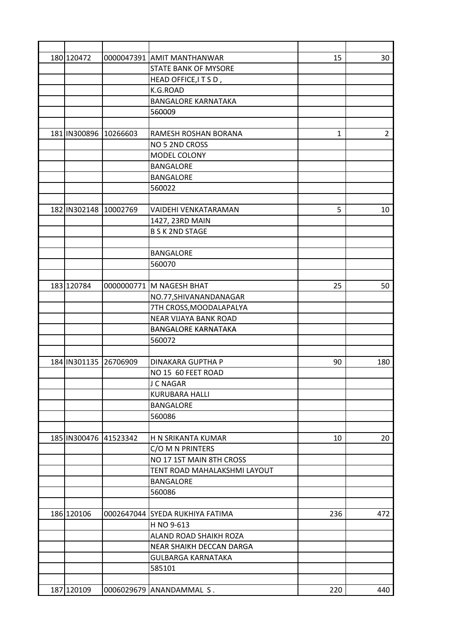| 180 120472            |          | 0000047391 AMIT MANTHANWAR           | 15  | 30             |
|-----------------------|----------|--------------------------------------|-----|----------------|
|                       |          | <b>STATE BANK OF MYSORE</b>          |     |                |
|                       |          | HEAD OFFICE, IT S D,                 |     |                |
|                       |          | K.G.ROAD                             |     |                |
|                       |          | <b>BANGALORE KARNATAKA</b>           |     |                |
|                       |          | 560009                               |     |                |
|                       |          |                                      |     |                |
| 181 IN300896 10266603 |          | RAMESH ROSHAN BORANA                 | 1   | $\overline{2}$ |
|                       |          | NO 5 2ND CROSS                       |     |                |
|                       |          | MODEL COLONY                         |     |                |
|                       |          | <b>BANGALORE</b>                     |     |                |
|                       |          | <b>BANGALORE</b>                     |     |                |
|                       |          | 560022                               |     |                |
|                       |          |                                      |     |                |
| 182 IN302148 10002769 |          | <b>VAIDEHI VENKATARAMAN</b>          | 5   | 10             |
|                       |          | 1427, 23RD MAIN                      |     |                |
|                       |          | <b>B S K 2ND STAGE</b>               |     |                |
|                       |          |                                      |     |                |
|                       |          | <b>BANGALORE</b>                     |     |                |
|                       |          | 560070                               |     |                |
|                       |          |                                      |     |                |
| 183 120784            |          | 0000000771 M NAGESH BHAT             | 25  | 50             |
|                       |          | NO.77, SHIVANANDANAGAR               |     |                |
|                       |          | 7TH CROSS, MOODALAPALYA              |     |                |
|                       |          | NEAR VIJAYA BANK ROAD                |     |                |
|                       |          |                                      |     |                |
|                       |          | <b>BANGALORE KARNATAKA</b><br>560072 |     |                |
|                       |          |                                      |     |                |
|                       |          | DINAKARA GUPTHA P                    |     |                |
| 184 IN301135 26706909 |          | NO 15 60 FEET ROAD                   | 90  | 180            |
|                       |          |                                      |     |                |
|                       |          | J C NAGAR                            |     |                |
|                       |          | <b>KURUBARA HALLI</b>                |     |                |
|                       |          | <b>BANGALORE</b>                     |     |                |
|                       |          | 560086                               |     |                |
|                       |          |                                      |     |                |
| 185 IN300476          | 41523342 | H N SRIKANTA KUMAR                   | 10  | 20             |
|                       |          | C/O M N PRINTERS                     |     |                |
|                       |          | NO 17 1ST MAIN 8TH CROSS             |     |                |
|                       |          | TENT ROAD MAHALAKSHMI LAYOUT         |     |                |
|                       |          | <b>BANGALORE</b>                     |     |                |
|                       |          | 560086                               |     |                |
|                       |          |                                      |     |                |
| 186 120106            |          | 0002647044 SYEDA RUKHIYA FATIMA      | 236 | 472            |
|                       |          | H NO 9-613                           |     |                |
|                       |          | ALAND ROAD SHAIKH ROZA               |     |                |
|                       |          | NEAR SHAIKH DECCAN DARGA             |     |                |
|                       |          | <b>GULBARGA KARNATAKA</b>            |     |                |
|                       |          | 585101                               |     |                |
|                       |          |                                      |     |                |
| 187 120109            |          | 0006029679 ANANDAMMAL S.             | 220 | 440            |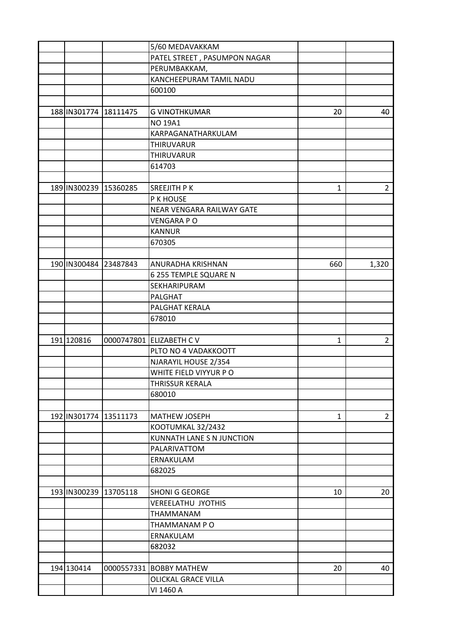|              |                       | 5/60 MEDAVAKKAM              |     |                |
|--------------|-----------------------|------------------------------|-----|----------------|
|              |                       | PATEL STREET, PASUMPON NAGAR |     |                |
|              |                       | PERUMBAKKAM,                 |     |                |
|              |                       | KANCHEEPURAM TAMIL NADU      |     |                |
|              |                       | 600100                       |     |                |
|              |                       |                              |     |                |
|              | 188 IN301774 18111475 | <b>G VINOTHKUMAR</b>         | 20  | 40             |
|              |                       | <b>NO 19A1</b>               |     |                |
|              |                       | KARPAGANATHARKULAM           |     |                |
|              |                       | THIRUVARUR                   |     |                |
|              |                       | THIRUVARUR                   |     |                |
|              |                       | 614703                       |     |                |
|              |                       |                              |     |                |
| 189 IN300239 | 15360285              | SREEJITH P K                 | 1   | 2 <sup>1</sup> |
|              |                       | P K HOUSE                    |     |                |
|              |                       | NEAR VENGARA RAILWAY GATE    |     |                |
|              |                       | <b>VENGARA PO</b>            |     |                |
|              |                       | <b>KANNUR</b>                |     |                |
|              |                       | 670305                       |     |                |
|              |                       |                              |     |                |
|              |                       |                              |     |                |
|              | 190 IN300484 23487843 | ANURADHA KRISHNAN            | 660 | 1,320          |
|              |                       | 6 255 TEMPLE SQUARE N        |     |                |
|              |                       | SEKHARIPURAM                 |     |                |
|              |                       | <b>PALGHAT</b>               |     |                |
|              |                       | PALGHAT KERALA               |     |                |
|              |                       | 678010                       |     |                |
|              |                       |                              |     |                |
| 191 120816   |                       | 0000747801 ELIZABETH C V     | 1   | $2^{\circ}$    |
|              |                       | PLTO NO 4 VADAKKOOTT         |     |                |
|              |                       | NJARAYIL HOUSE 2/354         |     |                |
|              |                       | WHITE FIELD VIYYUR PO        |     |                |
|              |                       | THRISSUR KERALA              |     |                |
|              |                       | 680010                       |     |                |
|              |                       |                              |     |                |
|              | 192 IN301774 13511173 | <b>MATHEW JOSEPH</b>         | 1   | 2 <sup>7</sup> |
|              |                       | KOOTUMKAL 32/2432            |     |                |
|              |                       | KUNNATH LANE S N JUNCTION    |     |                |
|              |                       | PALARIVATTOM                 |     |                |
|              |                       | ERNAKULAM                    |     |                |
|              |                       | 682025                       |     |                |
|              |                       |                              |     |                |
|              | 193 IN300239 13705118 | <b>SHONI G GEORGE</b>        | 10  | 20             |
|              |                       | <b>VEREELATHU JYOTHIS</b>    |     |                |
|              |                       | THAMMANAM                    |     |                |
|              |                       | THAMMANAM PO                 |     |                |
|              |                       | ERNAKULAM                    |     |                |
|              |                       | 682032                       |     |                |
|              |                       |                              |     |                |
| 194 130414   |                       | 0000557331 BOBBY MATHEW      | 20  | 40             |
|              |                       | <b>OLICKAL GRACE VILLA</b>   |     |                |
|              |                       | VI 1460 A                    |     |                |
|              |                       |                              |     |                |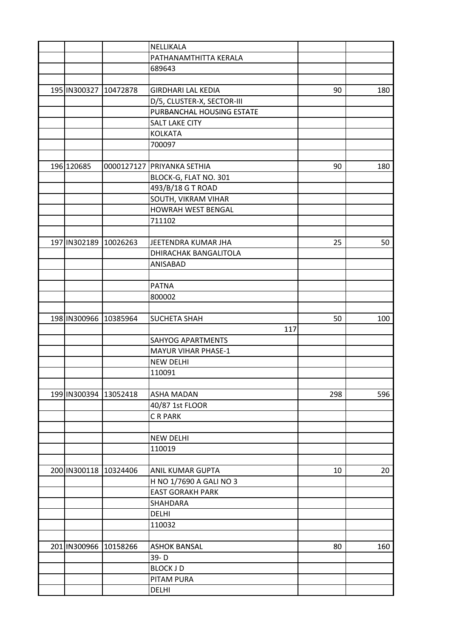|                       |          | NELLIKALA                  |     |     |
|-----------------------|----------|----------------------------|-----|-----|
|                       |          | PATHANAMTHITTA KERALA      |     |     |
|                       |          | 689643                     |     |     |
|                       |          |                            |     |     |
| 195 IN300327 10472878 |          | <b>GIRDHARI LAL KEDIA</b>  | 90  | 180 |
|                       |          | D/5, CLUSTER-X, SECTOR-III |     |     |
|                       |          | PURBANCHAL HOUSING ESTATE  |     |     |
|                       |          | <b>SALT LAKE CITY</b>      |     |     |
|                       |          | <b>KOLKATA</b>             |     |     |
|                       |          | 700097                     |     |     |
|                       |          |                            |     |     |
| 196 120685            |          | 0000127127 PRIYANKA SETHIA | 90  | 180 |
|                       |          | BLOCK-G, FLAT NO. 301      |     |     |
|                       |          | 493/B/18 G T ROAD          |     |     |
|                       |          | SOUTH, VIKRAM VIHAR        |     |     |
|                       |          | <b>HOWRAH WEST BENGAL</b>  |     |     |
|                       |          | 711102                     |     |     |
|                       |          |                            |     |     |
|                       |          |                            |     |     |
| 197 IN302189 10026263 |          | JEETENDRA KUMAR JHA        | 25  | 50  |
|                       |          | DHIRACHAK BANGALITOLA      |     |     |
|                       |          | ANISABAD                   |     |     |
|                       |          |                            |     |     |
|                       |          | <b>PATNA</b>               |     |     |
|                       |          | 800002                     |     |     |
|                       |          |                            |     |     |
| 198 IN300966 10385964 |          | <b>SUCHETA SHAH</b>        | 50  | 100 |
|                       |          | 117                        |     |     |
|                       |          | <b>SAHYOG APARTMENTS</b>   |     |     |
|                       |          | <b>MAYUR VIHAR PHASE-1</b> |     |     |
|                       |          | <b>NEW DELHI</b>           |     |     |
|                       |          | 110091                     |     |     |
|                       |          |                            |     |     |
| 199 IN300394 13052418 |          | <b>ASHA MADAN</b>          | 298 | 596 |
|                       |          | 40/87 1st FLOOR            |     |     |
|                       |          | CR PARK                    |     |     |
|                       |          |                            |     |     |
|                       |          | <b>NEW DELHI</b>           |     |     |
|                       |          | 110019                     |     |     |
|                       |          |                            |     |     |
| 200 IN300118 10324406 |          | <b>ANIL KUMAR GUPTA</b>    | 10  | 20  |
|                       |          | H NO 1/7690 A GALI NO 3    |     |     |
|                       |          | <b>EAST GORAKH PARK</b>    |     |     |
|                       |          | SHAHDARA                   |     |     |
|                       |          | <b>DELHI</b>               |     |     |
|                       |          | 110032                     |     |     |
|                       |          |                            |     |     |
| 201 IN300966          | 10158266 | <b>ASHOK BANSAL</b>        | 80  | 160 |
|                       |          | 39-D                       |     |     |
|                       |          | <b>BLOCK JD</b>            |     |     |
|                       |          | PITAM PURA                 |     |     |
|                       |          |                            |     |     |
|                       |          | <b>DELHI</b>               |     |     |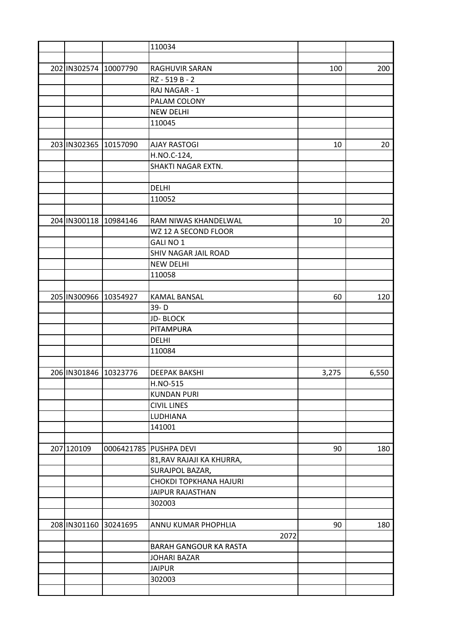|                       |          | 110034                        |       |       |
|-----------------------|----------|-------------------------------|-------|-------|
|                       |          |                               |       |       |
| 202 IN302574 10007790 |          | RAGHUVIR SARAN                | 100   | 200   |
|                       |          | RZ - 519 B - 2                |       |       |
|                       |          | RAJ NAGAR - 1                 |       |       |
|                       |          | PALAM COLONY                  |       |       |
|                       |          | <b>NEW DELHI</b>              |       |       |
|                       |          | 110045                        |       |       |
|                       |          |                               |       |       |
| 203 IN302365          | 10157090 | <b>AJAY RASTOGI</b>           | 10    | 20    |
|                       |          | H.NO.C-124,                   |       |       |
|                       |          | SHAKTI NAGAR EXTN.            |       |       |
|                       |          |                               |       |       |
|                       |          | <b>DELHI</b>                  |       |       |
|                       |          | 110052                        |       |       |
|                       |          |                               |       |       |
| 204 IN300118 10984146 |          | RAM NIWAS KHANDELWAL          | 10    | 20    |
|                       |          | WZ 12 A SECOND FLOOR          |       |       |
|                       |          | GALI NO 1                     |       |       |
|                       |          | SHIV NAGAR JAIL ROAD          |       |       |
|                       |          | <b>NEW DELHI</b>              |       |       |
|                       |          |                               |       |       |
|                       |          | 110058                        |       |       |
|                       |          |                               |       |       |
| 205 IN300966          | 10354927 | <b>KAMAL BANSAL</b>           | 60    | 120   |
|                       |          | 39-D                          |       |       |
|                       |          | <b>JD-BLOCK</b>               |       |       |
|                       |          | PITAMPURA                     |       |       |
|                       |          | <b>DELHI</b>                  |       |       |
|                       |          | 110084                        |       |       |
|                       |          |                               |       |       |
| 206 IN301846 10323776 |          | <b>DEEPAK BAKSHI</b>          | 3,275 | 6,550 |
|                       |          | H.NO-515                      |       |       |
|                       |          | <b>KUNDAN PURI</b>            |       |       |
|                       |          | <b>CIVIL LINES</b>            |       |       |
|                       |          | LUDHIANA                      |       |       |
|                       |          | 141001                        |       |       |
|                       |          |                               |       |       |
| 207 120109            |          | 0006421785 PUSHPA DEVI        | 90    | 180   |
|                       |          | 81, RAV RAJAJI KA KHURRA,     |       |       |
|                       |          | SURAJPOL BAZAR,               |       |       |
|                       |          | <b>CHOKDI TOPKHANA HAJURI</b> |       |       |
|                       |          | <b>JAIPUR RAJASTHAN</b>       |       |       |
|                       |          | 302003                        |       |       |
|                       |          |                               |       |       |
| 208 IN301160 30241695 |          | ANNU KUMAR PHOPHLIA           | 90    | 180   |
|                       |          | 2072                          |       |       |
|                       |          | <b>BARAH GANGOUR KA RASTA</b> |       |       |
|                       |          | <b>JOHARI BAZAR</b>           |       |       |
|                       |          | <b>JAIPUR</b>                 |       |       |
|                       |          | 302003                        |       |       |
|                       |          |                               |       |       |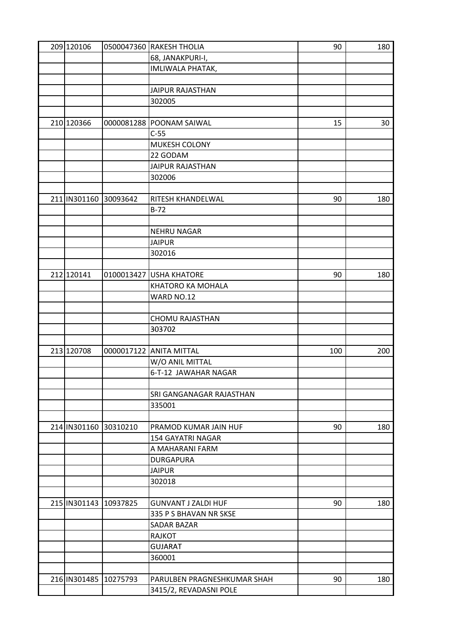| 209 120106            |          | 0500047360 RAKESH THOLIA    | 90  | 180 |
|-----------------------|----------|-----------------------------|-----|-----|
|                       |          | 68, JANAKPURI-I,            |     |     |
|                       |          | IMLIWALA PHATAK,            |     |     |
|                       |          |                             |     |     |
|                       |          | <b>JAIPUR RAJASTHAN</b>     |     |     |
|                       |          | 302005                      |     |     |
|                       |          |                             |     |     |
| 210 120366            |          | 0000081288 POONAM SAIWAL    | 15  | 30  |
|                       |          | $C-55$                      |     |     |
|                       |          | MUKESH COLONY               |     |     |
|                       |          | 22 GODAM                    |     |     |
|                       |          | <b>JAIPUR RAJASTHAN</b>     |     |     |
|                       |          | 302006                      |     |     |
|                       |          |                             |     |     |
| 211 IN301160          | 30093642 | RITESH KHANDELWAL           | 90  | 180 |
|                       |          | $B-72$                      |     |     |
|                       |          |                             |     |     |
|                       |          | <b>NEHRU NAGAR</b>          |     |     |
|                       |          | <b>JAIPUR</b>               |     |     |
|                       |          | 302016                      |     |     |
|                       |          |                             |     |     |
| 212 120141            |          | 0100013427 USHA KHATORE     | 90  | 180 |
|                       |          | KHATORO KA MOHALA           |     |     |
|                       |          | WARD NO.12                  |     |     |
|                       |          |                             |     |     |
|                       |          |                             |     |     |
|                       |          | CHOMU RAJASTHAN<br>303702   |     |     |
|                       |          |                             |     |     |
| 213 120708            |          | 0000017122 ANITA MITTAL     | 100 | 200 |
|                       |          | W/O ANIL MITTAL             |     |     |
|                       |          | 6-T-12 JAWAHAR NAGAR        |     |     |
|                       |          |                             |     |     |
|                       |          | SRI GANGANAGAR RAJASTHAN    |     |     |
|                       |          | 335001                      |     |     |
|                       |          |                             |     |     |
| 214 IN301160          | 30310210 | PRAMOD KUMAR JAIN HUF       | 90  | 180 |
|                       |          | <b>154 GAYATRI NAGAR</b>    |     |     |
|                       |          | A MAHARANI FARM             |     |     |
|                       |          | <b>DURGAPURA</b>            |     |     |
|                       |          | <b>JAIPUR</b>               |     |     |
|                       |          |                             |     |     |
|                       |          | 302018                      |     |     |
| 215 IN301143 10937825 |          |                             | 90  |     |
|                       |          | <b>GUNVANT J ZALDI HUF</b>  |     | 180 |
|                       |          | 335 P S BHAVAN NR SKSE      |     |     |
|                       |          | SADAR BAZAR                 |     |     |
|                       |          | <b>RAJKOT</b>               |     |     |
|                       |          | <b>GUJARAT</b>              |     |     |
|                       |          | 360001                      |     |     |
|                       |          |                             |     |     |
| 216 IN301485 10275793 |          | PARULBEN PRAGNESHKUMAR SHAH | 90  | 180 |
|                       |          | 3415/2, REVADASNI POLE      |     |     |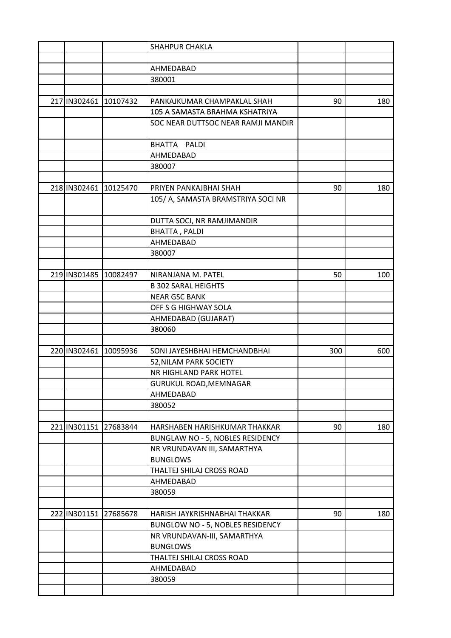|                       |          | SHAHPUR CHAKLA                     |     |     |
|-----------------------|----------|------------------------------------|-----|-----|
|                       |          |                                    |     |     |
|                       |          | AHMEDABAD                          |     |     |
|                       |          | 380001                             |     |     |
|                       |          |                                    |     |     |
| 217 IN302461 10107432 |          | PANKAJKUMAR CHAMPAKLAL SHAH        | 90  | 180 |
|                       |          | 105 A SAMASTA BRAHMA KSHATRIYA     |     |     |
|                       |          | SOC NEAR DUTTSOC NEAR RAMJI MANDIR |     |     |
|                       |          |                                    |     |     |
|                       |          | <b>BHATTA</b><br>PALDI             |     |     |
|                       |          | AHMEDABAD                          |     |     |
|                       |          | 380007                             |     |     |
|                       |          |                                    |     |     |
| 218 IN302461          | 10125470 | PRIYEN PANKAJBHAI SHAH             | 90  | 180 |
|                       |          | 105/ A, SAMASTA BRAMSTRIYA SOCI NR |     |     |
|                       |          |                                    |     |     |
|                       |          | DUTTA SOCI, NR RAMJIMANDIR         |     |     |
|                       |          | <b>BHATTA, PALDI</b>               |     |     |
|                       |          | AHMEDABAD                          |     |     |
|                       |          | 380007                             |     |     |
|                       |          |                                    |     |     |
| 219 IN301485 10082497 |          | NIRANJANA M. PATEL                 | 50  | 100 |
|                       |          | <b>B 302 SARAL HEIGHTS</b>         |     |     |
|                       |          | <b>NEAR GSC BANK</b>               |     |     |
|                       |          | OFF S G HIGHWAY SOLA               |     |     |
|                       |          | AHMEDABAD (GUJARAT)                |     |     |
|                       |          | 380060                             |     |     |
|                       |          |                                    |     |     |
| 220 IN302461 10095936 |          | SONI JAYESHBHAI HEMCHANDBHAI       | 300 | 600 |
|                       |          | 52, NILAM PARK SOCIETY             |     |     |
|                       |          | NR HIGHLAND PARK HOTEL             |     |     |
|                       |          | GURUKUL ROAD, MEMNAGAR             |     |     |
|                       |          | AHMEDABAD                          |     |     |
|                       |          | 380052                             |     |     |
|                       |          |                                    |     |     |
| 221 IN301151          | 27683844 | HARSHABEN HARISHKUMAR THAKKAR      | 90  | 180 |
|                       |          | BUNGLAW NO - 5, NOBLES RESIDENCY   |     |     |
|                       |          | NR VRUNDAVAN III, SAMARTHYA        |     |     |
|                       |          | <b>BUNGLOWS</b>                    |     |     |
|                       |          | THALTEJ SHILAJ CROSS ROAD          |     |     |
|                       |          | AHMEDABAD                          |     |     |
|                       |          | 380059                             |     |     |
|                       |          |                                    |     |     |
| 222 IN301151          | 27685678 | HARISH JAYKRISHNABHAI THAKKAR      | 90  | 180 |
|                       |          | BUNGLOW NO - 5, NOBLES RESIDENCY   |     |     |
|                       |          | NR VRUNDAVAN-III, SAMARTHYA        |     |     |
|                       |          | <b>BUNGLOWS</b>                    |     |     |
|                       |          | THALTEJ SHILAJ CROSS ROAD          |     |     |
|                       |          | AHMEDABAD                          |     |     |
|                       |          | 380059                             |     |     |
|                       |          |                                    |     |     |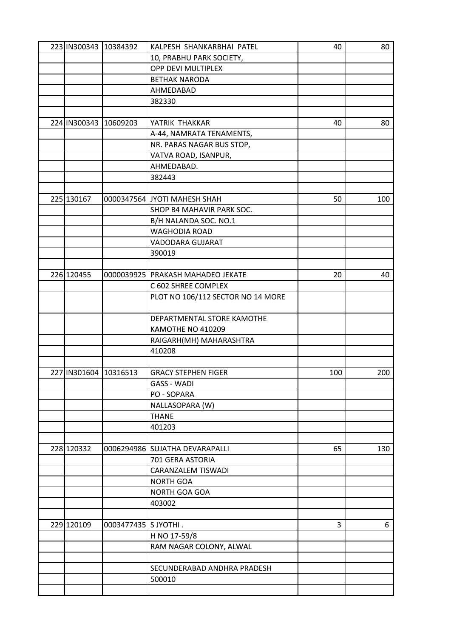| 223 IN300343 10384392 |                       | KALPESH SHANKARBHAI PATEL           | 40  | 80  |
|-----------------------|-----------------------|-------------------------------------|-----|-----|
|                       |                       | 10, PRABHU PARK SOCIETY,            |     |     |
|                       |                       | OPP DEVI MULTIPLEX                  |     |     |
|                       |                       | <b>BETHAK NARODA</b>                |     |     |
|                       |                       | AHMEDABAD                           |     |     |
|                       |                       | 382330                              |     |     |
|                       |                       |                                     |     |     |
|                       | 224 IN300343 10609203 | YATRIK THAKKAR                      | 40  | 80  |
|                       |                       | A-44, NAMRATA TENAMENTS,            |     |     |
|                       |                       | NR. PARAS NAGAR BUS STOP,           |     |     |
|                       |                       | VATVA ROAD, ISANPUR,                |     |     |
|                       |                       | AHMEDABAD.                          |     |     |
|                       |                       | 382443                              |     |     |
|                       |                       |                                     |     |     |
| 225 130167            |                       | 0000347564 JYOTI MAHESH SHAH        | 50  | 100 |
|                       |                       | SHOP B4 MAHAVIR PARK SOC.           |     |     |
|                       |                       |                                     |     |     |
|                       |                       | B/H NALANDA SOC. NO.1               |     |     |
|                       |                       | <b>WAGHODIA ROAD</b>                |     |     |
|                       |                       | VADODARA GUJARAT                    |     |     |
|                       |                       | 390019                              |     |     |
|                       |                       |                                     |     |     |
| 226 120455            |                       | 0000039925   PRAKASH MAHADEO JEKATE | 20  | 40  |
|                       |                       | C 602 SHREE COMPLEX                 |     |     |
|                       |                       | PLOT NO 106/112 SECTOR NO 14 MORE   |     |     |
|                       |                       | DEPARTMENTAL STORE KAMOTHE          |     |     |
|                       |                       | KAMOTHE NO 410209                   |     |     |
|                       |                       | RAIGARH(MH) MAHARASHTRA             |     |     |
|                       |                       | 410208                              |     |     |
|                       |                       |                                     |     |     |
| 227 IN301604 10316513 |                       | <b>GRACY STEPHEN FIGER</b>          | 100 | 200 |
|                       |                       | <b>GASS - WADI</b>                  |     |     |
|                       |                       | PO - SOPARA                         |     |     |
|                       |                       | NALLASOPARA (W)                     |     |     |
|                       |                       | <b>THANE</b>                        |     |     |
|                       |                       | 401203                              |     |     |
|                       |                       |                                     |     |     |
| 228 120332            |                       | 0006294986 SUJATHA DEVARAPALLI      | 65  | 130 |
|                       |                       | 701 GERA ASTORIA                    |     |     |
|                       |                       | CARANZALEM TISWADI                  |     |     |
|                       |                       | <b>NORTH GOA</b>                    |     |     |
|                       |                       | NORTH GOA GOA                       |     |     |
|                       |                       |                                     |     |     |
|                       |                       | 403002                              |     |     |
|                       |                       |                                     |     |     |
| 229 120109            | 0003477435 S JYOTHI.  |                                     | 3   | 6   |
|                       |                       | H NO 17-59/8                        |     |     |
|                       |                       | RAM NAGAR COLONY, ALWAL             |     |     |
|                       |                       |                                     |     |     |
|                       |                       | SECUNDERABAD ANDHRA PRADESH         |     |     |
|                       |                       | 500010                              |     |     |
|                       |                       |                                     |     |     |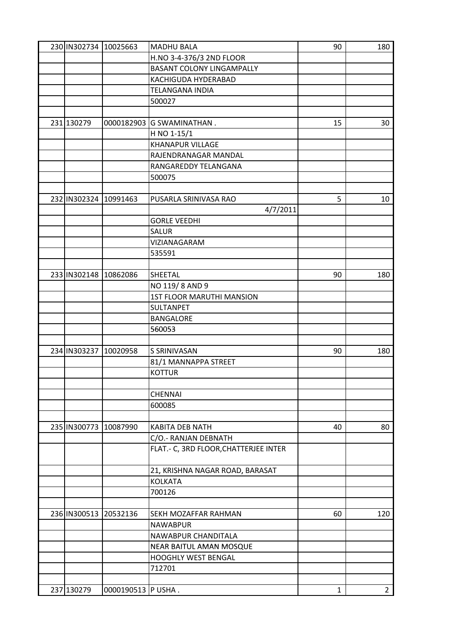| 230 IN302734 10025663 |                       | <b>MADHU BALA</b>                     | 90 | 180         |
|-----------------------|-----------------------|---------------------------------------|----|-------------|
|                       |                       | H.NO 3-4-376/3 2ND FLOOR              |    |             |
|                       |                       | <b>BASANT COLONY LINGAMPALLY</b>      |    |             |
|                       |                       | KACHIGUDA HYDERABAD                   |    |             |
|                       |                       | <b>TELANGANA INDIA</b>                |    |             |
|                       |                       | 500027                                |    |             |
|                       |                       |                                       |    |             |
| 231 130279            |                       | 0000182903 G SWAMINATHAN.             | 15 | 30          |
|                       |                       | H NO 1-15/1                           |    |             |
|                       |                       | <b>KHANAPUR VILLAGE</b>               |    |             |
|                       |                       | RAJENDRANAGAR MANDAL                  |    |             |
|                       |                       | RANGAREDDY TELANGANA                  |    |             |
|                       |                       | 500075                                |    |             |
|                       |                       |                                       |    |             |
| 232 IN302324 10991463 |                       | PUSARLA SRINIVASA RAO                 | 5  | 10          |
|                       |                       | 4/7/2011                              |    |             |
|                       |                       | <b>GORLE VEEDHI</b>                   |    |             |
|                       |                       | <b>SALUR</b>                          |    |             |
|                       |                       | VIZIANAGARAM                          |    |             |
|                       |                       | 535591                                |    |             |
|                       |                       |                                       |    |             |
| 233 IN302148 10862086 |                       | SHEETAL                               | 90 | 180         |
|                       |                       | NO 119/8 AND 9                        |    |             |
|                       |                       | <b>1ST FLOOR MARUTHI MANSION</b>      |    |             |
|                       |                       | SULTANPET                             |    |             |
|                       |                       | <b>BANGALORE</b>                      |    |             |
|                       |                       | 560053                                |    |             |
|                       |                       |                                       |    |             |
| 234 IN303237          | 10020958              | S SRINIVASAN                          | 90 | 180         |
|                       |                       | 81/1 MANNAPPA STREET                  |    |             |
|                       |                       | <b>KOTTUR</b>                         |    |             |
|                       |                       |                                       |    |             |
|                       |                       | <b>CHENNAI</b>                        |    |             |
|                       |                       | 600085                                |    |             |
|                       |                       |                                       |    |             |
| 235 IN300773          | 10087990              | <b>KABITA DEB NATH</b>                | 40 | 80          |
|                       |                       | C/O.- RANJAN DEBNATH                  |    |             |
|                       |                       | FLAT.- C, 3RD FLOOR, CHATTERJEE INTER |    |             |
|                       |                       | 21, KRISHNA NAGAR ROAD, BARASAT       |    |             |
|                       |                       | <b>KOLKATA</b>                        |    |             |
|                       |                       | 700126                                |    |             |
|                       |                       |                                       |    |             |
|                       | 236 IN300513 20532136 | SEKH MOZAFFAR RAHMAN                  | 60 | 120         |
|                       |                       | <b>NAWABPUR</b>                       |    |             |
|                       |                       | NAWABPUR CHANDITALA                   |    |             |
|                       |                       | NEAR BAITUL AMAN MOSQUE               |    |             |
|                       |                       | HOOGHLY WEST BENGAL                   |    |             |
|                       |                       | 712701                                |    |             |
|                       |                       |                                       |    |             |
| 237 130279            | 0000190513 P USHA.    |                                       | 1  | $2^{\circ}$ |